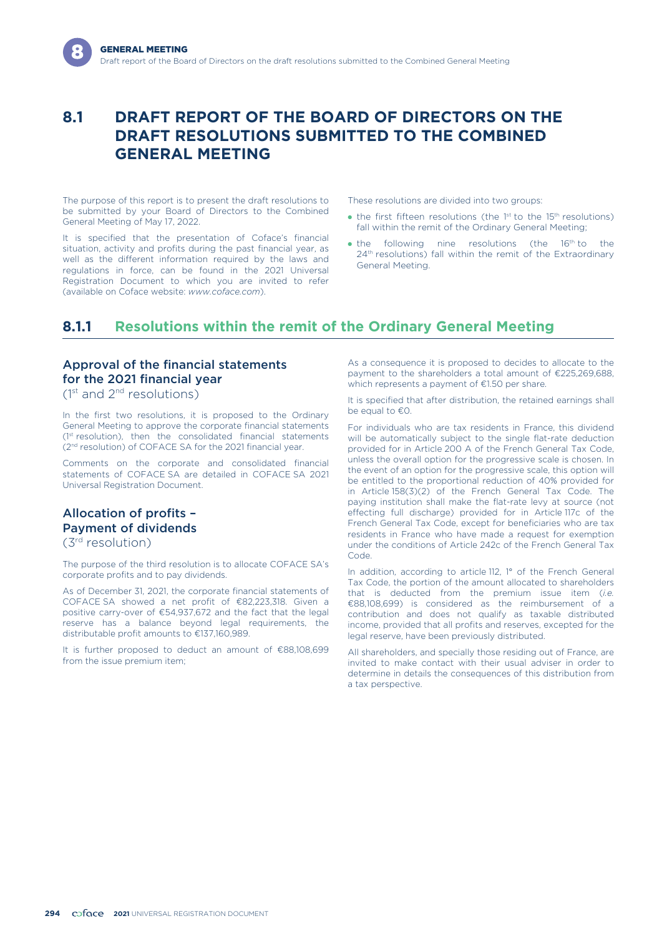# **8.1 DRAFT REPORT OF THE BOARD OF DIRECTORS ON THE DRAFT RESOLUTIONS SUBMITTED TO THE COMBINED GENERAL MEETING**

The purpose of this report is to present the draft resolutions to be submitted by your Board of Directors to the Combined General Meeting of May 17, 2022.

It is specified that the presentation of Coface's financial situation, activity and profits during the past financial year, as well as the different information required by the laws and regulations in force, can be found in the 2021 Universal Registration Document to which you are invited to refer (available on Coface website: *www.coface.com*).

These resolutions are divided into two groups:

- $\bullet$  the first fifteen resolutions (the 1<sup>st</sup> to the 15<sup>th</sup> resolutions) fall within the remit of the Ordinary General Meeting;
- $\bullet$  the following nine resolutions (the  $16<sup>th</sup>$  to the 24<sup>th</sup> resolutions) fall within the remit of the Extraordinary General Meeting.

# **8.1.1 Resolutions within the remit of the Ordinary General Meeting**

## Approval of the financial statements for the 2021 financial year

 $(1<sup>st</sup>$  and  $2<sup>nd</sup>$  resolutions)

In the first two resolutions, it is proposed to the Ordinary General Meeting to approve the corporate financial statements (1<sup>st</sup> resolution), then the consolidated financial statements (2nd resolution) of COFACE SA for the 2021 financial year.

Comments on the corporate and consolidated financial statements of COFACE SA are detailed in COFACE SA 2021 Universal Registration Document.

### Allocation of profits – Payment of dividends (3rd resolution)

The purpose of the third resolution is to allocate COFACE SA's corporate profits and to pay dividends.

As of December 31, 2021, the corporate financial statements of COFACE SA showed a net profit of €82,223,318. Given a positive carry-over of €54,937,672 and the fact that the legal reserve has a balance beyond legal requirements, the distributable profit amounts to €137,160,989.

It is further proposed to deduct an amount of €88,108,699 from the issue premium item;

As a consequence it is proposed to decides to allocate to the payment to the shareholders a total amount of €225,269,688, which represents a payment of €1.50 per share.

It is specified that after distribution, the retained earnings shall be equal to €0.

For individuals who are tax residents in France, this dividend will be automatically subject to the single flat-rate deduction provided for in Article 200 A of the French General Tax Code, unless the overall option for the progressive scale is chosen. In the event of an option for the progressive scale, this option will be entitled to the proportional reduction of 40% provided for in Article 158(3)(2) of the French General Tax Code. The paying institution shall make the flat-rate levy at source (not effecting full discharge) provided for in Article 117c of the French General Tax Code, except for beneficiaries who are tax residents in France who have made a request for exemption under the conditions of Article 242c of the French General Tax Code.

In addition, according to article 112, 1° of the French General Tax Code, the portion of the amount allocated to shareholders that is deducted from the premium issue item (*i.e.* €88,108,699) is considered as the reimbursement of a contribution and does not qualify as taxable distributed income, provided that all profits and reserves, excepted for the legal reserve, have been previously distributed.

All shareholders, and specially those residing out of France, are invited to make contact with their usual adviser in order to determine in details the consequences of this distribution from a tax perspective.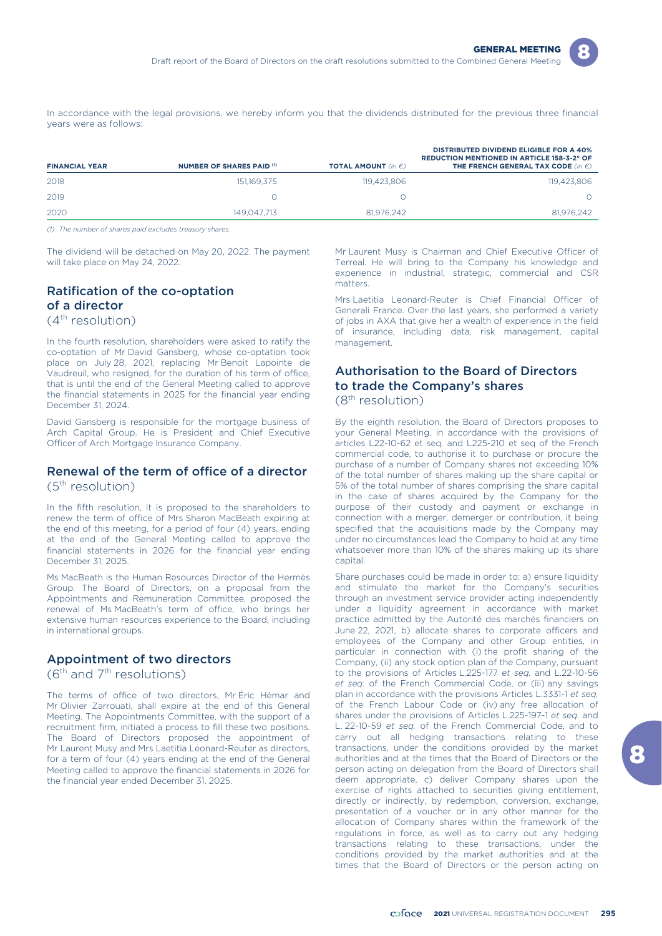

In accordance with the legal provisions, we hereby inform you that the dividends distributed for the previous three financial years were as follows:

| <b>FINANCIAL YEAR</b> | NUMBER OF SHARES PAID (1) | <b>TOTAL AMOUNT</b> (in $\epsilon$ ) | <b>DISTRIBUTED DIVIDEND ELIGIBLE FOR A 40%</b><br><b>REDUCTION MENTIONED IN ARTICLE 158-3-2° OF</b><br>THE FRENCH GENERAL TAX CODE (in $\epsilon$ ) |
|-----------------------|---------------------------|--------------------------------------|-----------------------------------------------------------------------------------------------------------------------------------------------------|
| 2018                  | 151.169.375               | 119.423.806                          | 119,423,806                                                                                                                                         |
| 2019                  |                           |                                      |                                                                                                                                                     |
| 2020                  | 149.047.713               | 81,976,242                           | 81.976.242                                                                                                                                          |

*(1) The number of shares paid excludes treasury shares.*

The dividend will be detached on May 20, 2022. The payment will take place on May 24, 2022.

### Ratification of the co-optation of a director (4th resolution)

In the fourth resolution, shareholders were asked to ratify the co-optation of Mr David Gansberg, whose co-optation took place on July 28, 2021, replacing Mr Benoit Lapointe de Vaudreuil, who resigned, for the duration of his term of office, that is until the end of the General Meeting called to approve the financial statements in 2025 for the financial year ending December 31, 2024.

David Gansberg is responsible for the mortgage business of Arch Capital Group. He is President and Chief Executive Officer of Arch Mortgage Insurance Company.

### Renewal of the term of office of a director (5th resolution)

In the fifth resolution, it is proposed to the shareholders to renew the term of office of Mrs Sharon MacBeath expiring at the end of this meeting, for a period of four (4) years, ending at the end of the General Meeting called to approve the financial statements in 2026 for the financial year ending December 31, 2025.

Ms MacBeath is the Human Resources Director of the Hermès Group. The Board of Directors, on a proposal from the Appointments and Remuneration Committee, proposed the renewal of Ms MacBeath's term of office, who brings her extensive human resources experience to the Board, including in international groups.

### Appointment of two directors

 $(6<sup>th</sup>$  and  $7<sup>th</sup>$  resolutions)

The terms of office of two directors, Mr Éric Hémar and Mr Olivier Zarrouati, shall expire at the end of this General Meeting. The Appointments Committee, with the support of a recruitment firm, initiated a process to fill these two positions. The Board of Directors proposed the appointment of Mr Laurent Musy and Mrs Laetitia Leonard-Reuter as directors, for a term of four (4) years ending at the end of the General Meeting called to approve the financial statements in 2026 for the financial year ended December 31, 2025.

Mr Laurent Musy is Chairman and Chief Executive Officer of Terreal. He will bring to the Company his knowledge and experience in industrial, strategic, commercial and CSR matters.

Mrs Laetitia Leonard-Reuter is Chief Financial Officer of Generali France. Over the last years, she performed a variety of jobs in AXA that give her a wealth of experience in the field of insurance, including data, risk management, capital management.

# Authorisation to the Board of Directors to trade the Company's shares

## (8th resolution)

By the eighth resolution, the Board of Directors proposes to your General Meeting, in accordance with the provisions of articles L22-10-62 et seq. and L225-210 et seq of the French commercial code, to authorise it to purchase or procure the purchase of a number of Company shares not exceeding 10% of the total number of shares making up the share capital or 5% of the total number of shares comprising the share capital in the case of shares acquired by the Company for the purpose of their custody and payment or exchange in connection with a merger, demerger or contribution, it being specified that the acquisitions made by the Company may under no circumstances lead the Company to hold at any time whatsoever more than 10% of the shares making up its share capital.

Share purchases could be made in order to: a) ensure liquidity and stimulate the market for the Company's securities through an investment service provider acting independently under a liquidity agreement in accordance with market practice admitted by the Autorité des marchés financiers on June 22, 2021, b) allocate shares to corporate officers and employees of the Company and other Group entities, in particular in connection with (i) the profit sharing of the Company, (ii) any stock option plan of the Company, pursuant to the provisions of Articles L.225-177 *et seq.* and L.22-10-56 *et seq.* of the French Commercial Code, or (iii) any savings plan in accordance with the provisions Articles L.3331-1 *et seq.* of the French Labour Code or (iv) any free allocation of shares under the provisions of Articles L.225-197-1 *et seq.* and L. 22-10-59 *et seq.* of the French Commercial Code, and to carry out all hedging transactions relating to these transactions, under the conditions provided by the market authorities and at the times that the Board of Directors or the person acting on delegation from the Board of Directors shall deem appropriate, c) deliver Company shares upon the exercise of rights attached to securities giving entitlement, directly or indirectly, by redemption, conversion, exchange, presentation of a voucher or in any other manner for the allocation of Company shares within the framework of the regulations in force, as well as to carry out any hedging transactions relating to these transactions, under the conditions provided by the market authorities and at the times that the Board of Directors or the person acting on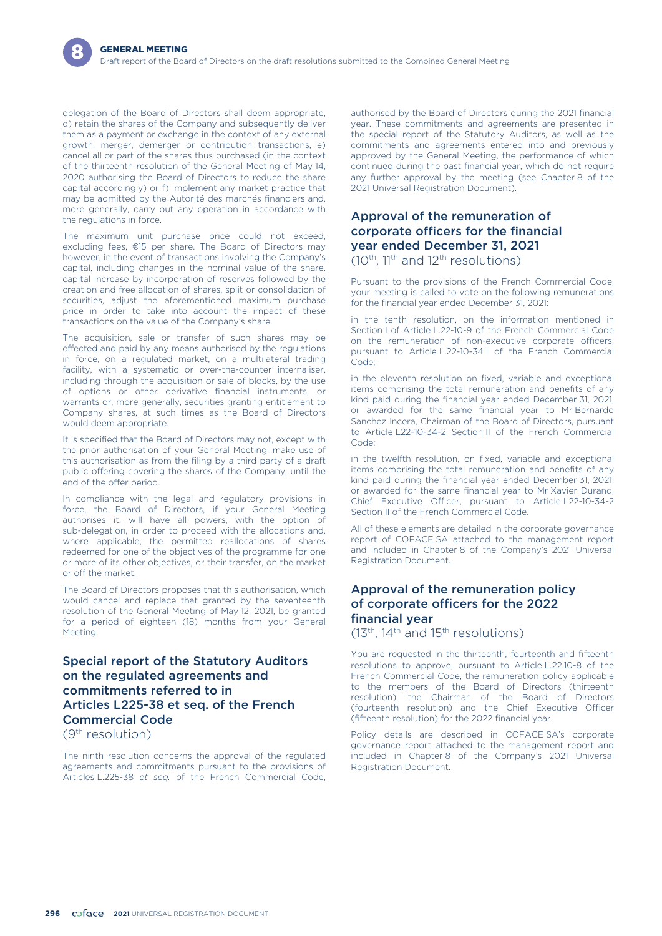delegation of the Board of Directors shall deem appropriate, d) retain the shares of the Company and subsequently deliver them as a payment or exchange in the context of any external growth, merger, demerger or contribution transactions, e) cancel all or part of the shares thus purchased (in the context of the thirteenth resolution of the General Meeting of May 14, 2020 authorising the Board of Directors to reduce the share capital accordingly) or f) implement any market practice that may be admitted by the Autorité des marchés financiers and, more generally, carry out any operation in accordance with the regulations in force.

The maximum unit purchase price could not exceed, excluding fees, €15 per share. The Board of Directors may however, in the event of transactions involving the Company's capital, including changes in the nominal value of the share, capital increase by incorporation of reserves followed by the creation and free allocation of shares, split or consolidation of securities, adjust the aforementioned maximum purchase price in order to take into account the impact of these transactions on the value of the Company's share.

The acquisition, sale or transfer of such shares may be effected and paid by any means authorised by the regulations in force, on a regulated market, on a multilateral trading facility, with a systematic or over-the-counter internaliser, including through the acquisition or sale of blocks, by the use of options or other derivative financial instruments, or warrants or, more generally, securities granting entitlement to Company shares, at such times as the Board of Directors would deem appropriate.

It is specified that the Board of Directors may not, except with the prior authorisation of your General Meeting, make use of this authorisation as from the filing by a third party of a draft public offering covering the shares of the Company, until the end of the offer period.

In compliance with the legal and regulatory provisions in force, the Board of Directors, if your General Meeting authorises it, will have all powers, with the option of sub-delegation, in order to proceed with the allocations and, where applicable, the permitted reallocations of shares redeemed for one of the objectives of the programme for one or more of its other objectives, or their transfer, on the market or off the market.

The Board of Directors proposes that this authorisation, which would cancel and replace that granted by the seventeenth resolution of the General Meeting of May 12, 2021, be granted for a period of eighteen (18) months from your General Meeting.

### Special report of the Statutory Auditors on the regulated agreements and commitments referred to in Articles L225-38 et seq. of the French Commercial Code (9th resolution)

The ninth resolution concerns the approval of the regulated agreements and commitments pursuant to the provisions of Articles L.225-38 *et seq.* of the French Commercial Code, authorised by the Board of Directors during the 2021 financial year. These commitments and agreements are presented in the special report of the Statutory Auditors, as well as the commitments and agreements entered into and previously approved by the General Meeting, the performance of which continued during the past financial year, which do not require any further approval by the meeting (see Chapter 8 of the 2021 Universal Registration Document).

## Approval of the remuneration of corporate officers for the financial year ended December 31, 2021

 $(10^{th}, 11^{th}$  and  $12^{th}$  resolutions)

Pursuant to the provisions of the French Commercial Code, your meeting is called to vote on the following remunerations for the financial year ended December 31, 2021:

in the tenth resolution, on the information mentioned in Section I of Article L.22-10-9 of the French Commercial Code on the remuneration of non-executive corporate officers, pursuant to Article L.22-10-34 I of the French Commercial Code;

in the eleventh resolution on fixed, variable and exceptional items comprising the total remuneration and benefits of any kind paid during the financial year ended December 31, 2021, or awarded for the same financial year to Mr Bernardo Sanchez Incera, Chairman of the Board of Directors, pursuant to Article L22-10-34-2 Section II of the French Commercial Code;

in the twelfth resolution, on fixed, variable and exceptional items comprising the total remuneration and benefits of any kind paid during the financial year ended December 31, 2021, or awarded for the same financial year to Mr Xavier Durand, Chief Executive Officer, pursuant to Article L22-10-34-2 Section II of the French Commercial Code.

All of these elements are detailed in the corporate governance report of COFACE SA attached to the management report and included in Chapter 8 of the Company's 2021 Universal Registration Document.

## Approval of the remuneration policy of corporate officers for the 2022 financial year

 $(13<sup>th</sup>, 14<sup>th</sup>$  and  $15<sup>th</sup>$  resolutions)

You are requested in the thirteenth, fourteenth and fifteenth resolutions to approve, pursuant to Article L.22.10-8 of the French Commercial Code, the remuneration policy applicable to the members of the Board of Directors (thirteenth resolution), the Chairman of the Board of Directors (fourteenth resolution) and the Chief Executive Officer (fifteenth resolution) for the 2022 financial year.

Policy details are described in COFACE SA's corporate governance report attached to the management report and included in Chapter 8 of the Company's 2021 Universal Registration Document.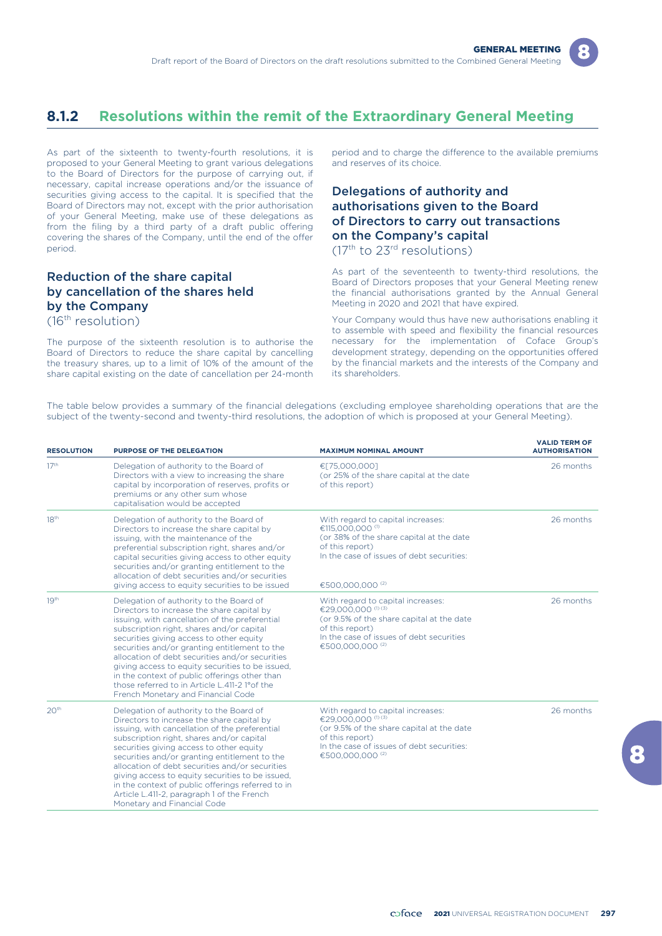

# **8.1.2 Resolutions within the remit of the Extraordinary General Meeting**

As part of the sixteenth to twenty-fourth resolutions, it is proposed to your General Meeting to grant various delegations to the Board of Directors for the purpose of carrying out, if necessary, capital increase operations and/or the issuance of securities giving access to the capital. It is specified that the Board of Directors may not, except with the prior authorisation of your General Meeting, make use of these delegations as from the filing by a third party of a draft public offering covering the shares of the Company, until the end of the offer period.

### Reduction of the share capital by cancellation of the shares held by the Company (16th resolution)

The purpose of the sixteenth resolution is to authorise the Board of Directors to reduce the share capital by cancelling the treasury shares, up to a limit of 10% of the amount of the share capital existing on the date of cancellation per 24-month

period and to charge the difference to the available premiums and reserves of its choice.

## Delegations of authority and authorisations given to the Board of Directors to carry out transactions on the Company's capital

(17th to 23rd resolutions)

As part of the seventeenth to twenty-third resolutions, the Board of Directors proposes that your General Meeting renew the financial authorisations granted by the Annual General Meeting in 2020 and 2021 that have expired.

Your Company would thus have new authorisations enabling it to assemble with speed and flexibility the financial resources necessary for the implementation of Coface Group's development strategy, depending on the opportunities offered by the financial markets and the interests of the Company and its shareholders.

The table below provides a summary of the financial delegations (excluding employee shareholding operations that are the subject of the twenty-second and twenty-third resolutions, the adoption of which is proposed at your General Meeting).

| <b>RESOLUTION</b> | PURPOSE OF THE DELEGATION                                                                                                                                                                                                                                                                                                                                                                                                                                                                                                         | <b>MAXIMUM NOMINAL AMOUNT</b>                                                                                                                                                                                  | <b>VALID TERM OF</b><br><b>AUTHORISATION</b> |
|-------------------|-----------------------------------------------------------------------------------------------------------------------------------------------------------------------------------------------------------------------------------------------------------------------------------------------------------------------------------------------------------------------------------------------------------------------------------------------------------------------------------------------------------------------------------|----------------------------------------------------------------------------------------------------------------------------------------------------------------------------------------------------------------|----------------------------------------------|
| 17 <sup>th</sup>  | Delegation of authority to the Board of<br>Directors with a view to increasing the share<br>capital by incorporation of reserves, profits or<br>premiums or any other sum whose<br>capitalisation would be accepted                                                                                                                                                                                                                                                                                                               | €[75,000,000]<br>(or 25% of the share capital at the date<br>of this report)                                                                                                                                   | 26 months                                    |
| 18 <sup>th</sup>  | Delegation of authority to the Board of<br>Directors to increase the share capital by<br>issuing, with the maintenance of the<br>preferential subscription right, shares and/or<br>capital securities giving access to other equity<br>securities and/or granting entitlement to the<br>allocation of debt securities and/or securities<br>giving access to equity securities to be issued                                                                                                                                        | With regard to capital increases:<br>€115,000,000 <sup>(1)</sup><br>(or 38% of the share capital at the date<br>of this report)<br>In the case of issues of debt securities:<br>€500.000.000 <sup>(2)</sup>    | 26 months                                    |
| 19 <sup>th</sup>  | Delegation of authority to the Board of<br>Directors to increase the share capital by<br>issuing, with cancellation of the preferential<br>subscription right, shares and/or capital<br>securities giving access to other equity<br>securities and/or granting entitlement to the<br>allocation of debt securities and/or securities<br>giving access to equity securities to be issued.<br>in the context of public offerings other than<br>those referred to in Article L.411-2 1° of the<br>French Monetary and Financial Code | With regard to capital increases:<br>€29.000.000 <sup>(1) (3)</sup><br>(or 9.5% of the share capital at the date<br>of this report)<br>In the case of issues of debt securities<br>€500,000,000 <sup>(2)</sup> | 26 months                                    |
| 20 <sup>th</sup>  | Delegation of authority to the Board of<br>Directors to increase the share capital by<br>issuing, with cancellation of the preferential<br>subscription right, shares and/or capital<br>securities giving access to other equity<br>securities and/or granting entitlement to the<br>allocation of debt securities and/or securities<br>giving access to equity securities to be issued,<br>in the context of public offerings referred to in<br>Article L.411-2, paragraph 1 of the French<br>Monetary and Financial Code        | With regard to capital increases:<br>€29,000,000 (1) (3)<br>(or 9.5% of the share capital at the date<br>of this report)<br>In the case of issues of debt securities:<br>€500,000,000 <sup>(2)</sup>           | 26 months                                    |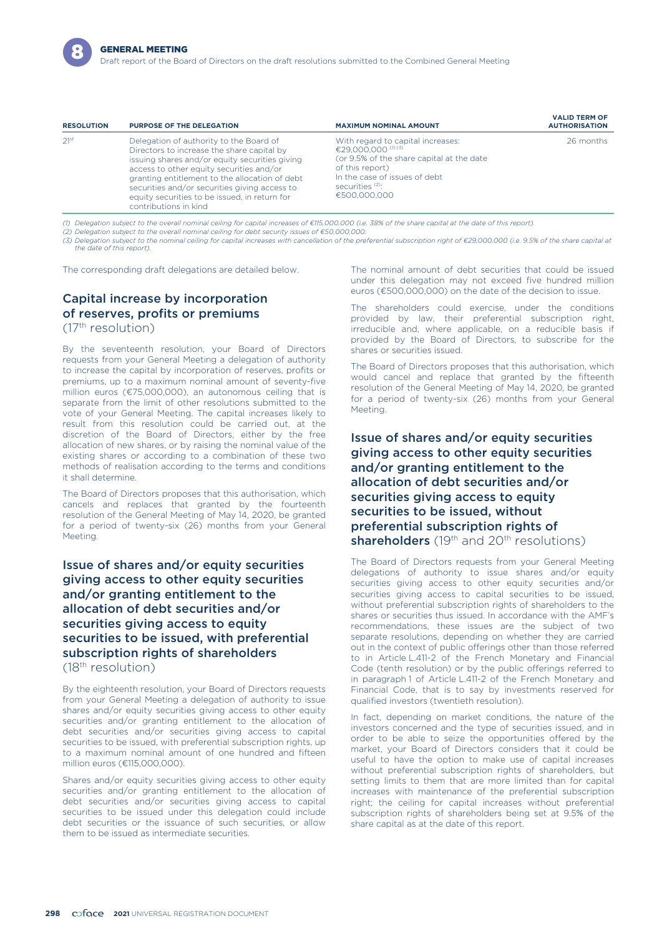

Draft report of the Board of Directors on the draft resolutions submitted to the Combined General Meeting

| <b>RESOLUTION</b> | <b>PURPOSE OF THE DELEGATION</b>                                                                                                                                                                                                                                                                                                                                 | <b>MAXIMUM NOMINAL AMOUNT</b>                                                                                                                                                                                       | <b>VALID TERM OF</b><br><b>AUTHORISATION</b> |
|-------------------|------------------------------------------------------------------------------------------------------------------------------------------------------------------------------------------------------------------------------------------------------------------------------------------------------------------------------------------------------------------|---------------------------------------------------------------------------------------------------------------------------------------------------------------------------------------------------------------------|----------------------------------------------|
| 21 <sup>st</sup>  | Delegation of authority to the Board of<br>Directors to increase the share capital by<br>issuing shares and/or equity securities giving<br>access to other equity securities and/or<br>granting entitlement to the allocation of debt<br>securities and/or securities giving access to<br>equity securities to be issued, in return for<br>contributions in kind | With regard to capital increases:<br>€29,000,000 <sup>(1) (3)</sup><br>(or 9.5% of the share capital at the date<br>of this report)<br>In the case of issues of debt<br>securities <sup>(2)</sup> :<br>€500,000,000 | 26 months                                    |

*(1) Delegation subject to the overall nominal ceiling for capital increases of €115,000,000 (i.e. 38% of the share capital at the date of this report).*

*(2) Delegation subject to the overall nominal ceiling for debt security issues of €50,000,000.*

*(3) Delegation subject to the nominal ceiling for capital increases with cancellation of the preferential subscription right of €29,000,000 (i.e. 9.5% of the share capital at the date of this report).*

The corresponding draft delegations are detailed below.

# Capital increase by incorporation of reserves, profits or premiums

 $(17<sup>th</sup>$  resolution)

By the seventeenth resolution, your Board of Directors requests from your General Meeting a delegation of authority to increase the capital by incorporation of reserves, profits or premiums, up to a maximum nominal amount of seventy-five million euros (€75,000,000), an autonomous ceiling that is separate from the limit of other resolutions submitted to the vote of your General Meeting. The capital increases likely to result from this resolution could be carried out, at the discretion of the Board of Directors, either by the free allocation of new shares, or by raising the nominal value of the existing shares or according to a combination of these two methods of realisation according to the terms and conditions it shall determine.

The Board of Directors proposes that this authorisation, which cancels and replaces that granted by the fourteenth resolution of the General Meeting of May 14, 2020, be granted for a period of twenty-six (26) months from your General Meeting.

Issue of shares and/or equity securities giving access to other equity securities and/or granting entitlement to the allocation of debt securities and/or securities giving access to equity securities to be issued, with preferential subscription rights of shareholders (18th resolution)

By the eighteenth resolution, your Board of Directors requests from your General Meeting a delegation of authority to issue shares and/or equity securities giving access to other equity securities and/or granting entitlement to the allocation of debt securities and/or securities giving access to capital securities to be issued, with preferential subscription rights, up to a maximum nominal amount of one hundred and fifteen million euros (€115,000,000).

Shares and/or equity securities giving access to other equity securities and/or granting entitlement to the allocation of debt securities and/or securities giving access to capital securities to be issued under this delegation could include debt securities or the issuance of such securities, or allow them to be issued as intermediate securities.

The nominal amount of debt securities that could be issued under this delegation may not exceed five hundred million euros (€500,000,000) on the date of the decision to issue.

The shareholders could exercise, under the conditions provided by law, their preferential subscription right, irreducible and, where applicable, on a reducible basis if provided by the Board of Directors, to subscribe for the shares or securities issued.

The Board of Directors proposes that this authorisation, which would cancel and replace that granted by the fifteenth resolution of the General Meeting of May 14, 2020, be granted for a period of twenty-six (26) months from your General Meeting.

Issue of shares and/or equity securities giving access to other equity securities and/or granting entitlement to the allocation of debt securities and/or securities giving access to equity securities to be issued, without preferential subscription rights of shareholders  $(19<sup>th</sup>$  and  $20<sup>th</sup>$  resolutions)

The Board of Directors requests from your General Meeting delegations of authority to issue shares and/or equity securities giving access to other equity securities and/or securities giving access to capital securities to be issued, without preferential subscription rights of shareholders to the shares or securities thus issued. In accordance with the AMF's recommendations, these issues are the subject of two separate resolutions, depending on whether they are carried out in the context of public offerings other than those referred to in Article L.411-2 of the French Monetary and Financial Code (tenth resolution) or by the public offerings referred to in paragraph 1 of Article L.411-2 of the French Monetary and Financial Code, that is to say by investments reserved for qualified investors (twentieth resolution).

In fact, depending on market conditions, the nature of the investors concerned and the type of securities issued, and in order to be able to seize the opportunities offered by the market, your Board of Directors considers that it could be useful to have the option to make use of capital increases without preferential subscription rights of shareholders, but setting limits to them that are more limited than for capital increases with maintenance of the preferential subscription right; the ceiling for capital increases without preferential subscription rights of shareholders being set at 9.5% of the share capital as at the date of this report.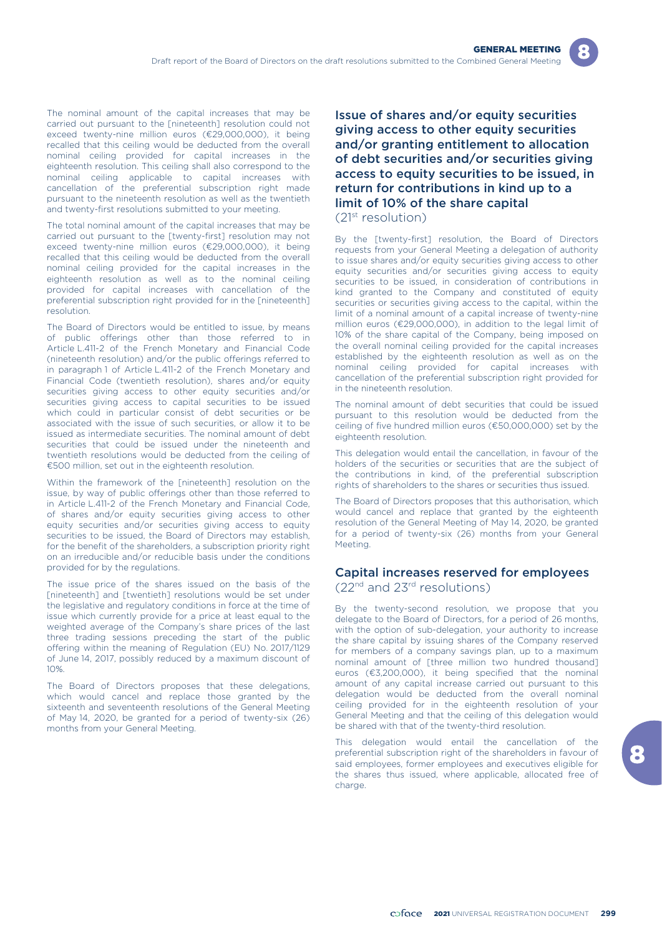The nominal amount of the capital increases that may be carried out pursuant to the [nineteenth] resolution could not exceed twenty-nine million euros (€29,000,000), it being recalled that this ceiling would be deducted from the overall nominal ceiling provided for capital increases in the eighteenth resolution. This ceiling shall also correspond to the nominal ceiling applicable to capital increases with cancellation of the preferential subscription right made pursuant to the nineteenth resolution as well as the twentieth and twenty-first resolutions submitted to your meeting.

The total nominal amount of the capital increases that may be carried out pursuant to the [twenty-first] resolution may not exceed twenty-nine million euros (€29,000,000), it being recalled that this ceiling would be deducted from the overall nominal ceiling provided for the capital increases in the eighteenth resolution as well as to the nominal ceiling provided for capital increases with cancellation of the preferential subscription right provided for in the [nineteenth] resolution.

The Board of Directors would be entitled to issue, by means of public offerings other than those referred to in Article L.411-2 of the French Monetary and Financial Code (nineteenth resolution) and/or the public offerings referred to in paragraph 1 of Article L.411-2 of the French Monetary and Financial Code (twentieth resolution), shares and/or equity securities giving access to other equity securities and/or securities giving access to capital securities to be issued which could in particular consist of debt securities or be associated with the issue of such securities, or allow it to be issued as intermediate securities. The nominal amount of debt securities that could be issued under the nineteenth and twentieth resolutions would be deducted from the ceiling of €500 million, set out in the eighteenth resolution.

Within the framework of the [nineteenth] resolution on the issue, by way of public offerings other than those referred to in Article L.411-2 of the French Monetary and Financial Code, of shares and/or equity securities giving access to other equity securities and/or securities giving access to equity securities to be issued, the Board of Directors may establish, for the benefit of the shareholders, a subscription priority right on an irreducible and/or reducible basis under the conditions provided for by the regulations.

The issue price of the shares issued on the basis of the [nineteenth] and [twentieth] resolutions would be set under the legislative and regulatory conditions in force at the time of issue which currently provide for a price at least equal to the weighted average of the Company's share prices of the last three trading sessions preceding the start of the public offering within the meaning of Regulation (EU) No. 2017/1129 of June 14, 2017, possibly reduced by a maximum discount of 10%.

The Board of Directors proposes that these delegations, which would cancel and replace those granted by the sixteenth and seventeenth resolutions of the General Meeting of May 14, 2020, be granted for a period of twenty-six (26) months from your General Meeting.

Issue of shares and/or equity securities giving access to other equity securities and/or granting entitlement to allocation of debt securities and/or securities giving access to equity securities to be issued, in return for contributions in kind up to a limit of 10% of the share capital (21st resolution)

By the [twenty-first] resolution, the Board of Directors requests from your General Meeting a delegation of authority to issue shares and/or equity securities giving access to other equity securities and/or securities giving access to equity securities to be issued, in consideration of contributions in kind granted to the Company and constituted of equity securities or securities giving access to the capital, within the limit of a nominal amount of a capital increase of twenty-nine million euros (€29,000,000), in addition to the legal limit of 10% of the share capital of the Company, being imposed on the overall nominal ceiling provided for the capital increases established by the eighteenth resolution as well as on the nominal ceiling provided for capital increases with cancellation of the preferential subscription right provided for in the nineteenth resolution.

The nominal amount of debt securities that could be issued pursuant to this resolution would be deducted from the ceiling of five hundred million euros (€50,000,000) set by the eighteenth resolution.

This delegation would entail the cancellation, in favour of the holders of the securities or securities that are the subject of the contributions in kind, of the preferential subscription rights of shareholders to the shares or securities thus issued.

The Board of Directors proposes that this authorisation, which would cancel and replace that granted by the eighteenth resolution of the General Meeting of May 14, 2020, be granted for a period of twenty-six (26) months from your General Meeting.

### Capital increases reserved for employees (22nd and 23rd resolutions)

By the twenty-second resolution, we propose that you delegate to the Board of Directors, for a period of 26 months, with the option of sub-delegation, your authority to increase the share capital by issuing shares of the Company reserved for members of a company savings plan, up to a maximum nominal amount of [three million two hundred thousand] euros (€3,200,000), it being specified that the nominal amount of any capital increase carried out pursuant to this delegation would be deducted from the overall nominal ceiling provided for in the eighteenth resolution of your General Meeting and that the ceiling of this delegation would be shared with that of the twenty-third resolution.

This delegation would entail the cancellation of the preferential subscription right of the shareholders in favour of said employees, former employees and executives eligible for the shares thus issued, where applicable, allocated free of charge.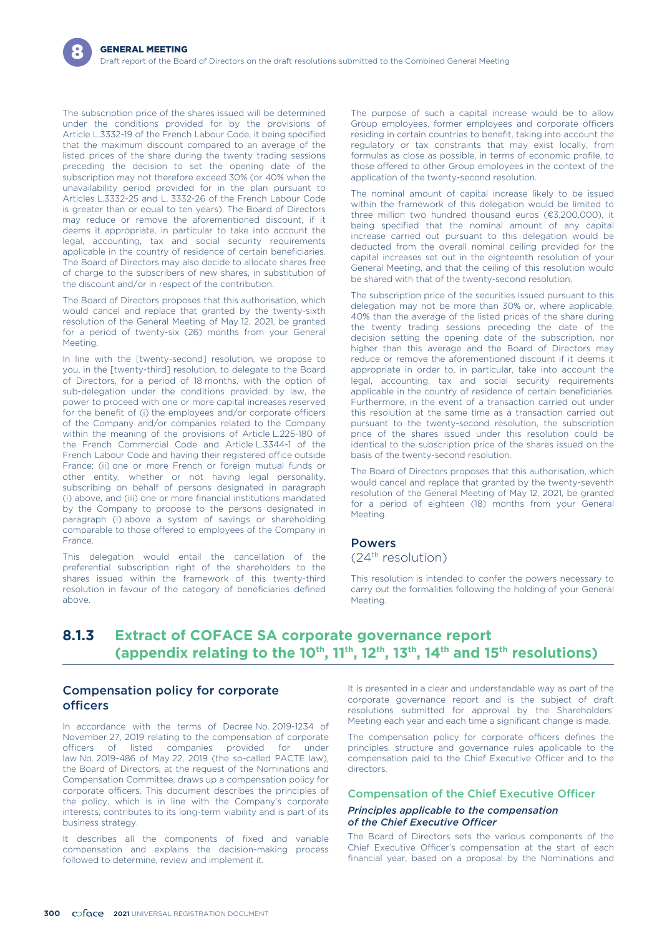The subscription price of the shares issued will be determined under the conditions provided for by the provisions of Article L.3332-19 of the French Labour Code, it being specified that the maximum discount compared to an average of the listed prices of the share during the twenty trading sessions preceding the decision to set the opening date of the subscription may not therefore exceed 30% (or 40% when the unavailability period provided for in the plan pursuant to Articles L.3332-25 and L. 3332-26 of the French Labour Code is greater than or equal to ten years). The Board of Directors may reduce or remove the aforementioned discount, if it deems it appropriate, in particular to take into account the legal, accounting, tax and social security requirements applicable in the country of residence of certain beneficiaries. The Board of Directors may also decide to allocate shares free of charge to the subscribers of new shares, in substitution of the discount and/or in respect of the contribution.

The Board of Directors proposes that this authorisation, which would cancel and replace that granted by the twenty-sixth resolution of the General Meeting of May 12, 2021, be granted for a period of twenty-six (26) months from your General Meeting.

In line with the [twenty-second] resolution, we propose to you, in the [twenty-third] resolution, to delegate to the Board of Directors, for a period of 18 months, with the option of sub-delegation under the conditions provided by law, the power to proceed with one or more capital increases reserved for the benefit of (i) the employees and/or corporate officers of the Company and/or companies related to the Company within the meaning of the provisions of Article L.225-180 of the French Commercial Code and Article L.3344-1 of the French Labour Code and having their registered office outside France; (ii) one or more French or foreign mutual funds or other entity, whether or not having legal personality, subscribing on behalf of persons designated in paragraph (i) above, and (iii) one or more financial institutions mandated by the Company to propose to the persons designated in paragraph (i) above a system of savings or shareholding comparable to those offered to employees of the Company in France.

This delegation would entail the cancellation of the preferential subscription right of the shareholders to the shares issued within the framework of this twenty-third resolution in favour of the category of beneficiaries defined above.

The purpose of such a capital increase would be to allow Group employees, former employees and corporate officers residing in certain countries to benefit, taking into account the regulatory or tax constraints that may exist locally, from formulas as close as possible, in terms of economic profile, to those offered to other Group employees in the context of the application of the twenty-second resolution.

The nominal amount of capital increase likely to be issued within the framework of this delegation would be limited to three million two hundred thousand euros (€3,200,000), it being specified that the nominal amount of any capital increase carried out pursuant to this delegation would be deducted from the overall nominal ceiling provided for the capital increases set out in the eighteenth resolution of your General Meeting, and that the ceiling of this resolution would be shared with that of the twenty-second resolution.

The subscription price of the securities issued pursuant to this delegation may not be more than 30% or, where applicable, 40% than the average of the listed prices of the share during the twenty trading sessions preceding the date of the decision setting the opening date of the subscription, nor higher than this average and the Board of Directors may reduce or remove the aforementioned discount if it deems it appropriate in order to, in particular, take into account the legal, accounting, tax and social security requirements applicable in the country of residence of certain beneficiaries. Furthermore, in the event of a transaction carried out under this resolution at the same time as a transaction carried out pursuant to the twenty-second resolution, the subscription price of the shares issued under this resolution could be identical to the subscription price of the shares issued on the basis of the twenty-second resolution.

The Board of Directors proposes that this authorisation, which would cancel and replace that granted by the twenty-seventh resolution of the General Meeting of May 12, 2021, be granted for a period of eighteen (18) months from your General Meeting.

### Powers

### (24th resolution)

This resolution is intended to confer the powers necessary to carry out the formalities following the holding of your General Meeting.

# **8.1.3 Extract of COFACE SA corporate governance report** (appendix relating to the 10<sup>th</sup>, 11<sup>th</sup>, 12<sup>th</sup>, 13<sup>th</sup>, 14<sup>th</sup> and 15<sup>th</sup> resolutions)

### Compensation policy for corporate officers

In accordance with the terms of Decree No. 2019-1234 of November 27, 2019 relating to the compensation of corporate officers of listed companies provided for under law No. 2019-486 of May 22, 2019 (the so-called PACTE law), the Board of Directors, at the request of the Nominations and Compensation Committee, draws up a compensation policy for corporate officers. This document describes the principles of the policy, which is in line with the Company's corporate interests, contributes to its long-term viability and is part of its business strategy.

It describes all the components of fixed and variable compensation and explains the decision-making process followed to determine, review and implement it.

It is presented in a clear and understandable way as part of the corporate governance report and is the subject of draft resolutions submitted for approval by the Shareholders' Meeting each year and each time a significant change is made.

The compensation policy for corporate officers defines the principles, structure and governance rules applicable to the compensation paid to the Chief Executive Officer and to the directors.

### Compensation of the Chief Executive Officer

### *Principles applicable to the compensation of the Chief Executive Officer*

The Board of Directors sets the various components of the Chief Executive Officer's compensation at the start of each financial year, based on a proposal by the Nominations and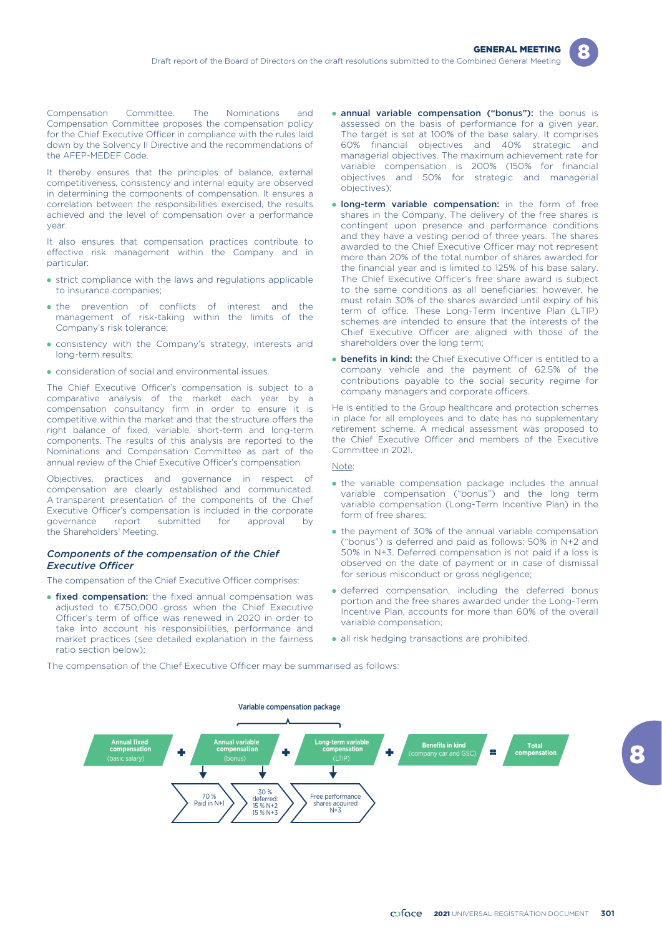

Compensation Committee. The Nominations and Compensation Committee proposes the compensation policy for the Chief Executive Officer in compliance with the rules laid down by the Solvency II Directive and the recommendations of the AFEP-MEDEF Code.

It thereby ensures that the principles of balance, external competitiveness, consistency and internal equity are observed in determining the components of compensation. It ensures a correlation between the responsibilities exercised, the results achieved and the level of compensation over a performance year.

It also ensures that compensation practices contribute to effective risk management within the Company and in particular:

- strict compliance with the laws and regulations applicable to insurance companies;
- the prevention of conflicts of interest and the management of risk-taking within the limits of the Company's risk tolerance;
- consistency with the Company's strategy, interests and long-term results;
- consideration of social and environmental issues.

The Chief Executive Officer's compensation is subject to a comparative analysis of the market each year by a compensation consultancy firm in order to ensure it is competitive within the market and that the structure offers the right balance of fixed, variable, short-term and long-term components. The results of this analysis are reported to the Nominations and Compensation Committee as part of the annual review of the Chief Executive Officer's compensation.

Objectives, practices and governance in respect of compensation are clearly established and communicated. A transparent presentation of the components of the Chief Executive Officer's compensation is included in the corporate governance report submitted for approval by the Shareholders' Meeting.

### *Components of the compensation of the Chief Executive Officer*

The compensation of the Chief Executive Officer comprises:

**• fixed compensation:** the fixed annual compensation was adjusted to €750,000 gross when the Chief Executive Officer's term of office was renewed in 2020 in order to take into account his responsibilities, performance and market practices (see detailed explanation in the fairness ratio section below);

- **annual variable compensation ("bonus"):** the bonus is assessed on the basis of performance for a given year. The target is set at 100% of the base salary. It comprises 60% financial objectives and 40% strategic and managerial objectives. The maximum achievement rate for variable compensation is 200% (150% for financial objectives and 50% for strategic and managerial objectives);
- **Iong-term variable compensation:** in the form of free shares in the Company. The delivery of the free shares is contingent upon presence and performance conditions and they have a vesting period of three years. The shares awarded to the Chief Executive Officer may not represent more than 20% of the total number of shares awarded for the financial year and is limited to 125% of his base salary. The Chief Executive Officer's free share award is subject to the same conditions as all beneficiaries; however, he must retain 30% of the shares awarded until expiry of his term of office. These Long-Term Incentive Plan (LTIP) schemes are intended to ensure that the interests of the Chief Executive Officer are aligned with those of the shareholders over the long term;
- **benefits in kind:** the Chief Executive Officer is entitled to a company vehicle and the payment of 62.5% of the contributions payable to the social security regime for company managers and corporate officers.

He is entitled to the Group healthcare and protection schemes in place for all employees and to date has no supplementary retirement scheme. A medical assessment was proposed to the Chief Executive Officer and members of the Executive Committee in 2021.

### Note:

- the variable compensation package includes the annual variable compensation ("bonus") and the long term variable compensation (Long-Term Incentive Plan) in the form of free shares;
- the payment of 30% of the annual variable compensation ("bonus") is deferred and paid as follows: 50% in N+2 and 50% in N+3. Deferred compensation is not paid if a loss is observed on the date of payment or in case of dismissal for serious misconduct or gross negligence;
- deferred compensation, including the deferred bonus portion and the free shares awarded under the Long-Term Incentive Plan, accounts for more than 60% of the overall variable compensation;
- all risk hedging transactions are prohibited.

The compensation of the Chief Executive Officer may be summarised as follows:

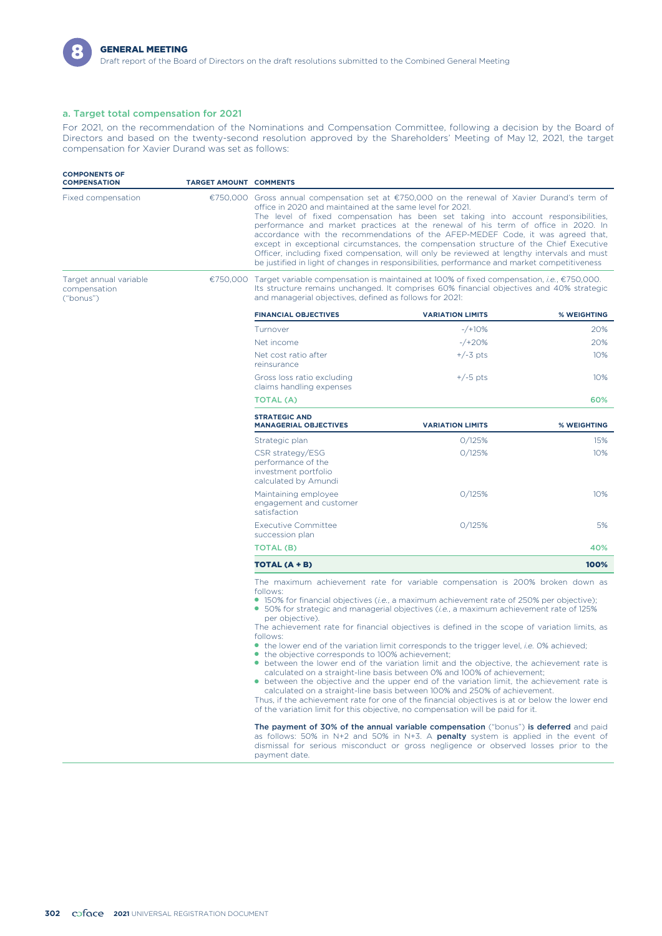

### a. Target total compensation for 2021

For 2021, on the recommendation of the Nominations and Compensation Committee, following a decision by the Board of Directors and based on the twenty-second resolution approved by the Shareholders' Meeting of May 12, 2021, the target compensation for Xavier Durand was set as follows:

| <b>COMPONENTS OF</b><br><b>COMPENSATION</b>         | <b>TARGET AMOUNT COMMENTS</b> |                                                                                                                                                                                                                                                                                                                                                                                                                                                                                                                                                                                                                                                                                                                                                                                                                               |                                                                                                                                                                                                                                                                                                                                                                                                                                                                                                                                                                                                                                                                                                                                                                                                                                                                                                                                                                                                                                                                                                                                                                                                                                                                                                           |             |  |  |  |
|-----------------------------------------------------|-------------------------------|-------------------------------------------------------------------------------------------------------------------------------------------------------------------------------------------------------------------------------------------------------------------------------------------------------------------------------------------------------------------------------------------------------------------------------------------------------------------------------------------------------------------------------------------------------------------------------------------------------------------------------------------------------------------------------------------------------------------------------------------------------------------------------------------------------------------------------|-----------------------------------------------------------------------------------------------------------------------------------------------------------------------------------------------------------------------------------------------------------------------------------------------------------------------------------------------------------------------------------------------------------------------------------------------------------------------------------------------------------------------------------------------------------------------------------------------------------------------------------------------------------------------------------------------------------------------------------------------------------------------------------------------------------------------------------------------------------------------------------------------------------------------------------------------------------------------------------------------------------------------------------------------------------------------------------------------------------------------------------------------------------------------------------------------------------------------------------------------------------------------------------------------------------|-------------|--|--|--|
| Fixed compensation                                  |                               | €750,000 Gross annual compensation set at €750,000 on the renewal of Xavier Durand's term of<br>office in 2020 and maintained at the same level for 2021.<br>The level of fixed compensation has been set taking into account responsibilities,<br>performance and market practices at the renewal of his term of office in 2020. In<br>accordance with the recommendations of the AFEP-MEDEF Code, it was agreed that,<br>except in exceptional circumstances, the compensation structure of the Chief Executive<br>Officer, including fixed compensation, will only be reviewed at lengthy intervals and must<br>be justified in light of changes in responsibilities, performance and market competitiveness<br>€750,000 Target variable compensation is maintained at 100% of fixed compensation, <i>i.e.</i> , €750,000. |                                                                                                                                                                                                                                                                                                                                                                                                                                                                                                                                                                                                                                                                                                                                                                                                                                                                                                                                                                                                                                                                                                                                                                                                                                                                                                           |             |  |  |  |
| Target annual variable<br>compensation<br>("bonus") |                               | and managerial objectives, defined as follows for 2021:                                                                                                                                                                                                                                                                                                                                                                                                                                                                                                                                                                                                                                                                                                                                                                       | Its structure remains unchanged. It comprises 60% financial objectives and 40% strategic                                                                                                                                                                                                                                                                                                                                                                                                                                                                                                                                                                                                                                                                                                                                                                                                                                                                                                                                                                                                                                                                                                                                                                                                                  |             |  |  |  |
|                                                     |                               | <b>FINANCIAL OBJECTIVES</b>                                                                                                                                                                                                                                                                                                                                                                                                                                                                                                                                                                                                                                                                                                                                                                                                   | <b>VARIATION LIMITS</b>                                                                                                                                                                                                                                                                                                                                                                                                                                                                                                                                                                                                                                                                                                                                                                                                                                                                                                                                                                                                                                                                                                                                                                                                                                                                                   | % WEIGHTING |  |  |  |
|                                                     |                               | Turnover                                                                                                                                                                                                                                                                                                                                                                                                                                                                                                                                                                                                                                                                                                                                                                                                                      | $-$ /+10%                                                                                                                                                                                                                                                                                                                                                                                                                                                                                                                                                                                                                                                                                                                                                                                                                                                                                                                                                                                                                                                                                                                                                                                                                                                                                                 | 20%         |  |  |  |
|                                                     |                               | Net income                                                                                                                                                                                                                                                                                                                                                                                                                                                                                                                                                                                                                                                                                                                                                                                                                    | $-$ /+20%                                                                                                                                                                                                                                                                                                                                                                                                                                                                                                                                                                                                                                                                                                                                                                                                                                                                                                                                                                                                                                                                                                                                                                                                                                                                                                 | 20%         |  |  |  |
|                                                     |                               | Net cost ratio after<br>reinsurance                                                                                                                                                                                                                                                                                                                                                                                                                                                                                                                                                                                                                                                                                                                                                                                           | $+/-3$ pts                                                                                                                                                                                                                                                                                                                                                                                                                                                                                                                                                                                                                                                                                                                                                                                                                                                                                                                                                                                                                                                                                                                                                                                                                                                                                                | 10%         |  |  |  |
|                                                     |                               | Gross loss ratio excluding<br>claims handling expenses                                                                                                                                                                                                                                                                                                                                                                                                                                                                                                                                                                                                                                                                                                                                                                        | $+/-5$ pts                                                                                                                                                                                                                                                                                                                                                                                                                                                                                                                                                                                                                                                                                                                                                                                                                                                                                                                                                                                                                                                                                                                                                                                                                                                                                                | 10%         |  |  |  |
|                                                     |                               | TOTAL (A)                                                                                                                                                                                                                                                                                                                                                                                                                                                                                                                                                                                                                                                                                                                                                                                                                     |                                                                                                                                                                                                                                                                                                                                                                                                                                                                                                                                                                                                                                                                                                                                                                                                                                                                                                                                                                                                                                                                                                                                                                                                                                                                                                           | 60%         |  |  |  |
|                                                     |                               | <b>STRATEGIC AND</b><br><b>MANAGERIAL OBJECTIVES</b>                                                                                                                                                                                                                                                                                                                                                                                                                                                                                                                                                                                                                                                                                                                                                                          | <b>VARIATION LIMITS</b>                                                                                                                                                                                                                                                                                                                                                                                                                                                                                                                                                                                                                                                                                                                                                                                                                                                                                                                                                                                                                                                                                                                                                                                                                                                                                   | % WEIGHTING |  |  |  |
|                                                     |                               | Strategic plan                                                                                                                                                                                                                                                                                                                                                                                                                                                                                                                                                                                                                                                                                                                                                                                                                | 0/125%                                                                                                                                                                                                                                                                                                                                                                                                                                                                                                                                                                                                                                                                                                                                                                                                                                                                                                                                                                                                                                                                                                                                                                                                                                                                                                    | 15%         |  |  |  |
|                                                     |                               | CSR strategy/ESG<br>performance of the<br>investment portfolio<br>calculated by Amundi                                                                                                                                                                                                                                                                                                                                                                                                                                                                                                                                                                                                                                                                                                                                        | 0/125%                                                                                                                                                                                                                                                                                                                                                                                                                                                                                                                                                                                                                                                                                                                                                                                                                                                                                                                                                                                                                                                                                                                                                                                                                                                                                                    | 10%         |  |  |  |
|                                                     |                               | Maintaining employee<br>engagement and customer<br>satisfaction                                                                                                                                                                                                                                                                                                                                                                                                                                                                                                                                                                                                                                                                                                                                                               | 0/125%                                                                                                                                                                                                                                                                                                                                                                                                                                                                                                                                                                                                                                                                                                                                                                                                                                                                                                                                                                                                                                                                                                                                                                                                                                                                                                    | 10%         |  |  |  |
|                                                     |                               | <b>Executive Committee</b><br>succession plan                                                                                                                                                                                                                                                                                                                                                                                                                                                                                                                                                                                                                                                                                                                                                                                 | 0/125%                                                                                                                                                                                                                                                                                                                                                                                                                                                                                                                                                                                                                                                                                                                                                                                                                                                                                                                                                                                                                                                                                                                                                                                                                                                                                                    | 5%          |  |  |  |
|                                                     |                               | TOTAL (B)                                                                                                                                                                                                                                                                                                                                                                                                                                                                                                                                                                                                                                                                                                                                                                                                                     |                                                                                                                                                                                                                                                                                                                                                                                                                                                                                                                                                                                                                                                                                                                                                                                                                                                                                                                                                                                                                                                                                                                                                                                                                                                                                                           | 40%         |  |  |  |
|                                                     |                               | TOTAL (A + B)                                                                                                                                                                                                                                                                                                                                                                                                                                                                                                                                                                                                                                                                                                                                                                                                                 |                                                                                                                                                                                                                                                                                                                                                                                                                                                                                                                                                                                                                                                                                                                                                                                                                                                                                                                                                                                                                                                                                                                                                                                                                                                                                                           | 100%        |  |  |  |
|                                                     |                               | follows:<br>per objective).<br>follows:<br>• the objective corresponds to 100% achievement;                                                                                                                                                                                                                                                                                                                                                                                                                                                                                                                                                                                                                                                                                                                                   | The maximum achievement rate for variable compensation is 200% broken down as<br>• 150% for financial objectives ( <i>i.e.</i> , a maximum achievement rate of 250% per objective);<br>• 50% for strategic and managerial objectives (i.e., a maximum achievement rate of 125%<br>The achievement rate for financial objectives is defined in the scope of variation limits, as<br>• the lower end of the variation limit corresponds to the trigger level, <i>i.e.</i> 0% achieved;<br>• between the lower end of the variation limit and the objective, the achievement rate is<br>calculated on a straight-line basis between 0% and 100% of achievement;<br>• between the objective and the upper end of the variation limit, the achievement rate is<br>calculated on a straight-line basis between 100% and 250% of achievement.<br>Thus, if the achievement rate for one of the financial objectives is at or below the lower end<br>of the variation limit for this objective, no compensation will be paid for it.<br>The payment of 30% of the annual variable compensation ("bonus") is deferred and paid<br>as follows: 50% in N+2 and 50% in N+3. A <b>penalty</b> system is applied in the event of<br>dismissal for serious misconduct or gross negligence or observed losses prior to the |             |  |  |  |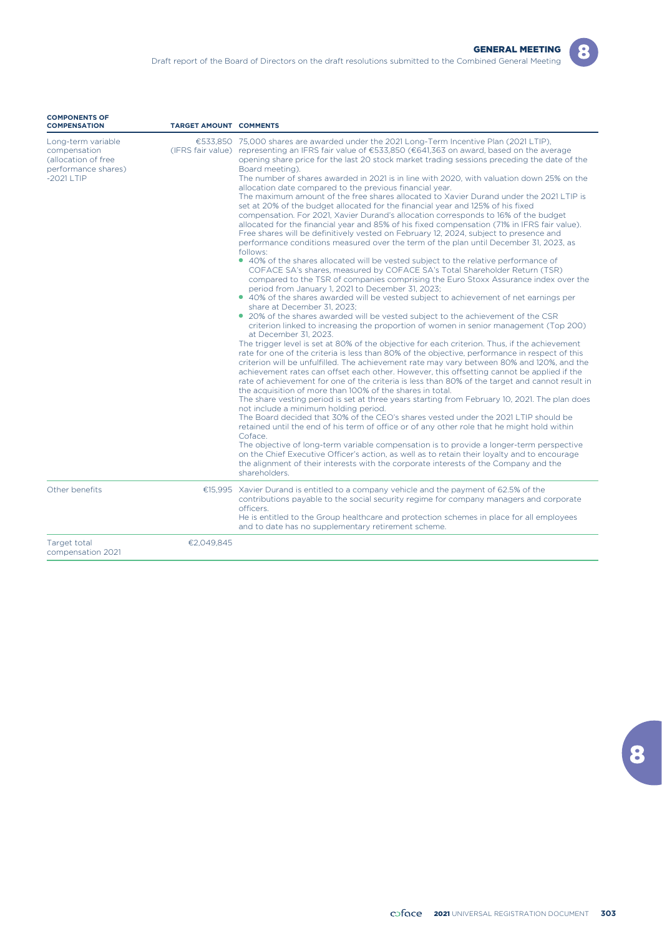| Long-term variable<br>compensation<br>(allocation of free<br>performance shares) | €533,850 75,000 shares are awarded under the 2021 Long-Term Incentive Plan (2021 LTIP),<br>(IFRS fair value) representing an IFRS fair value of €533,850 (€641,363 on award, based on the average<br>opening share price for the last 20 stock market trading sessions preceding the date of the<br>Board meeting). |
|----------------------------------------------------------------------------------|---------------------------------------------------------------------------------------------------------------------------------------------------------------------------------------------------------------------------------------------------------------------------------------------------------------------|
| $-20211$ TIP                                                                     | The number of shares awarded in 2021 is in line with 2020, with valuation down 25% on the<br>allocation date compared to the previous financial year.                                                                                                                                                               |
|                                                                                  | The maximum amount of the free shares allocated to Xavier Durand under the 2021 LTIP is                                                                                                                                                                                                                             |
|                                                                                  | set at 20% of the budget allocated for the financial year and 125% of his fixed<br>compensation. For 2021, Xavier Durand's allocation corresponds to 16% of the budget                                                                                                                                              |
|                                                                                  | allocated for the financial year and 85% of his fixed compensation (71% in IFRS fair value).                                                                                                                                                                                                                        |
|                                                                                  | Free shares will be definitively vested on February 12, 2024, subject to presence and<br>performance conditions measured over the term of the plan until December 31, 2023, as                                                                                                                                      |
|                                                                                  | follows:                                                                                                                                                                                                                                                                                                            |
|                                                                                  | • 40% of the shares allocated will be vested subject to the relative performance of<br>COFACE SA's shares, measured by COFACE SA's Total Shareholder Return (TSR)                                                                                                                                                   |
|                                                                                  | compared to the TSR of companies comprising the Euro Stoxx Assurance index over the<br>period from January 1, 2021 to December 31, 2023;                                                                                                                                                                            |
|                                                                                  | • 40% of the shares awarded will be vested subject to achievement of net earnings per<br>share at December 31, 2023:                                                                                                                                                                                                |
|                                                                                  | • 20% of the shares awarded will be vested subject to the achievement of the CSR                                                                                                                                                                                                                                    |
|                                                                                  | criterion linked to increasing the proportion of women in senior management (Top 200)<br>at December 31, 2023.                                                                                                                                                                                                      |
|                                                                                  | The trigger level is set at 80% of the objective for each criterion. Thus, if the achievement                                                                                                                                                                                                                       |
|                                                                                  | rate for one of the criteria is less than 80% of the objective, performance in respect of this<br>criterion will be unfulfilled. The achievement rate may vary between 80% and 120%, and the                                                                                                                        |
|                                                                                  | achievement rates can offset each other. However, this offsetting cannot be applied if the                                                                                                                                                                                                                          |
|                                                                                  | rate of achievement for one of the criteria is less than 80% of the target and cannot result in<br>the acquisition of more than 100% of the shares in total.                                                                                                                                                        |
|                                                                                  |                                                                                                                                                                                                                                                                                                                     |

**TARGET AMOUNT COMMENTS** 

The share vesting period is set at three years starting from February 10, 2021. The plan does not include a minimum holding period.

The Board decided that 30% of the CEO's shares vested under the 2021 LTIP should be retained until the end of his term of office or of any other role that he might hold within Coface.

The objective of long-term variable compensation is to provide a longer-term perspective on the Chief Executive Officer's action, as well as to retain their loyalty and to encourage the alignment of their interests with the corporate interests of the Company and the shareholders.

| Other benefits |            | €15,995 Xavier Durand is entitled to a company vehicle and the payment of 62.5% of the<br>contributions payable to the social security regime for company managers and corporate<br>officers.<br>He is entitled to the Group healthcare and protection schemes in place for all employees<br>and to date has no supplementary retirement scheme. |
|----------------|------------|--------------------------------------------------------------------------------------------------------------------------------------------------------------------------------------------------------------------------------------------------------------------------------------------------------------------------------------------------|
| Target total   | €2.049.845 |                                                                                                                                                                                                                                                                                                                                                  |

Target total compensation 2021

**COMPONENTS OF**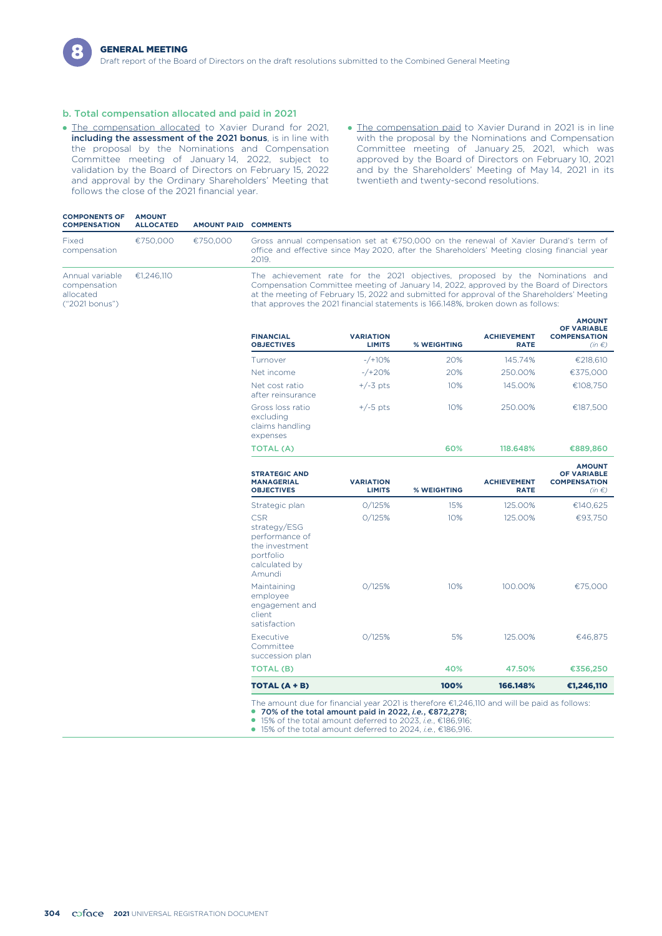### b. Total compensation allocated and paid in 2021

- **The compensation allocated to Xavier Durand for 2021,** including the assessment of the 2021 bonus, is in line with the proposal by the Nominations and Compensation Committee meeting of January 14, 2022, subject to validation by the Board of Directors on February 15, 2022 and approval by the Ordinary Shareholders' Meeting that follows the close of the 2021 financial year.
- The compensation paid to Xavier Durand in 2021 is in line with the proposal by the Nominations and Compensation Committee meeting of January 25, 2021, which was approved by the Board of Directors on February 10, 2021 and by the Shareholders' Meeting of May 14, 2021 in its twentieth and twenty-second resolutions.

| <b>COMPONENTS OF</b><br><b>COMPENSATION</b>                    | <b>AMOUNT</b><br><b>ALLOCATED</b> | <b>AMOUNT PAID</b> | <b>COMMENTS</b>                                                                                                                                                                                                                                                                                                                                            |
|----------------------------------------------------------------|-----------------------------------|--------------------|------------------------------------------------------------------------------------------------------------------------------------------------------------------------------------------------------------------------------------------------------------------------------------------------------------------------------------------------------------|
| Fixed<br>compensation                                          | €750.000                          | €750,000           | Gross annual compensation set at $\epsilon$ 750,000 on the renewal of Xavier Durand's term of<br>office and effective since May 2020, after the Shareholders' Meeting closing financial year<br>2019.                                                                                                                                                      |
| Annual variable<br>compensation<br>allocated<br>("2021 bonus") | €1.246.110                        |                    | The achievement rate for the 2021 objectives, proposed by the Nominations and<br>Compensation Committee meeting of January 14, 2022, approved by the Board of Directors<br>at the meeting of February 15, 2022 and submitted for approval of the Shareholders' Meeting<br>that approves the 2021 financial statements is 166.148%, broken down as follows: |
|                                                                |                                   |                    | <b>AMOUNT</b>                                                                                                                                                                                                                                                                                                                                              |

| <b>FINANCIAL</b><br><b>OBJECTIVES</b>                        | <b>VARIATION</b><br><b>LIMITS</b> | % WEIGHTING | <b>ACHIEVEMENT</b><br><b>RATE</b> | <b>OF VARIABLE</b><br><b>COMPENSATION</b><br>$(in \in)$ |
|--------------------------------------------------------------|-----------------------------------|-------------|-----------------------------------|---------------------------------------------------------|
| Turnover                                                     | $-$ /+10%                         | 20%         | 145.74%                           | €218,610                                                |
| Net income                                                   | $-$ /+20%                         | 20%         | 250.00%                           | €375,000                                                |
| Net cost ratio<br>after reinsurance                          | $+/-3$ pts                        | 10%         | 145.00%                           | €108.750                                                |
| Gross loss ratio<br>excluding<br>claims handling<br>expenses | $+/-5$ pts                        | 10%         | 250.00%                           | €187.500                                                |
| <b>TOTAL (A)</b>                                             |                                   | 60%         | 118.648%                          | €889,860                                                |

| <b>STRATEGIC AND</b><br><b>MANAGERIAL</b><br><b>OBJECTIVES</b>                                         | <b>VARIATION</b><br><b>LIMITS</b> | % WEIGHTING | <b>ACHIEVEMENT</b><br><b>RATE</b> | <b>AMOUNT</b><br>OF VARIABLE<br><b>COMPENSATION</b><br>$(in \in)$ |
|--------------------------------------------------------------------------------------------------------|-----------------------------------|-------------|-----------------------------------|-------------------------------------------------------------------|
| Strategic plan                                                                                         | 0/125%                            | 15%         | 125.00%                           | €140,625                                                          |
| <b>CSR</b><br>strategy/ESG<br>performance of<br>the investment<br>portfolio<br>calculated by<br>Amundi | 0/125%                            | 10%         | 125.00%                           | €93,750                                                           |
| Maintaining<br>employee<br>engagement and<br>client<br>satisfaction                                    | 0/125%                            | 10%         | 100.00%                           | €75,000                                                           |
| Executive<br>Committee<br>succession plan                                                              | 0/125%                            | 5%          | 125.00%                           | €46,875                                                           |
| <b>TOTAL (B)</b>                                                                                       |                                   | 40%         | 47.50%                            | €356,250                                                          |
| TOTAL (A + B)                                                                                          |                                   | 100%        | 166.148%                          | €1,246,110                                                        |

The amount due for financial year 2021 is therefore €1,246,110 and will be paid as follows:

 $\bullet$  70% of the total amount paid in 2022, *i.e.*, €872,278;<br> $\bullet$  15% of the total amount deferred to 2023, *i.e.*, €872,278;

15% of the total amount deferred to 2023, *i.e.*, €186,916;

● 15% of the total amount deferred to 2024, *i.e.*, €186,916.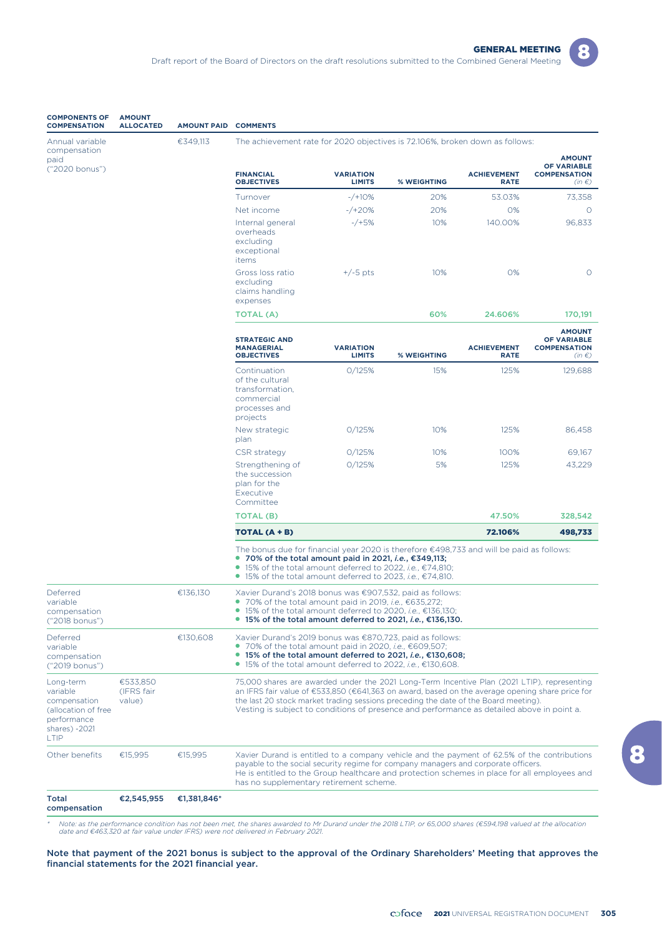

| <b>COMPONENTS OF</b><br><b>COMPENSATION</b>                                                                 | <b>AMOUNT</b><br><b>ALLOCATED</b> | <b>AMOUNT PAID</b> | <b>COMMENTS</b>                                                                                                                                                                                                                                                                                                                                                                     |                                   |             |                                   |                                                                          |
|-------------------------------------------------------------------------------------------------------------|-----------------------------------|--------------------|-------------------------------------------------------------------------------------------------------------------------------------------------------------------------------------------------------------------------------------------------------------------------------------------------------------------------------------------------------------------------------------|-----------------------------------|-------------|-----------------------------------|--------------------------------------------------------------------------|
| Annual variable<br>compensation                                                                             |                                   | €349,113           | The achievement rate for 2020 objectives is 72.106%, broken down as follows:                                                                                                                                                                                                                                                                                                        |                                   |             |                                   |                                                                          |
| paid<br>("2020 bonus")                                                                                      |                                   |                    | <b>FINANCIAL</b><br><b>OBJECTIVES</b>                                                                                                                                                                                                                                                                                                                                               | <b>VARIATION</b><br><b>LIMITS</b> | % WEIGHTING | <b>ACHIEVEMENT</b><br><b>RATE</b> | <b>AMOUNT</b><br><b>OF VARIABLE</b><br><b>COMPENSATION</b><br>$(in \in)$ |
|                                                                                                             |                                   |                    | Turnover                                                                                                                                                                                                                                                                                                                                                                            | $-$ /+10%                         | 20%         | 53.03%                            | 73,358                                                                   |
|                                                                                                             |                                   |                    | Net income                                                                                                                                                                                                                                                                                                                                                                          | $-$ /+20%                         | 20%         | 0%                                | $\circ$                                                                  |
|                                                                                                             |                                   |                    | Internal general<br>overheads<br>excluding<br>exceptional<br>items                                                                                                                                                                                                                                                                                                                  | $-$ /+5%                          | 10%         | 140.00%                           | 96,833                                                                   |
|                                                                                                             |                                   |                    | Gross loss ratio<br>excluding<br>claims handling<br>expenses                                                                                                                                                                                                                                                                                                                        | $+/-5$ pts                        | 10%         | 0%                                | $\circ$                                                                  |
|                                                                                                             |                                   |                    | TOTAL (A)                                                                                                                                                                                                                                                                                                                                                                           |                                   | 60%         | 24.606%                           | 170,191                                                                  |
|                                                                                                             |                                   |                    | <b>STRATEGIC AND</b><br><b>MANAGERIAL</b><br><b>OBJECTIVES</b>                                                                                                                                                                                                                                                                                                                      | <b>VARIATION</b><br><b>LIMITS</b> | % WEIGHTING | <b>ACHIEVEMENT</b><br><b>RATE</b> | <b>AMOUNT</b><br><b>OF VARIABLE</b><br><b>COMPENSATION</b><br>$(in \in)$ |
|                                                                                                             |                                   |                    | Continuation<br>of the cultural<br>transformation,<br>commercial<br>processes and<br>projects                                                                                                                                                                                                                                                                                       | O/125%                            | 15%         | 125%                              | 129,688                                                                  |
|                                                                                                             |                                   |                    | New strategic<br>plan                                                                                                                                                                                                                                                                                                                                                               | 0/125%                            | 10%         | 125%                              | 86,458                                                                   |
|                                                                                                             |                                   |                    | CSR strategy                                                                                                                                                                                                                                                                                                                                                                        | 0/125%                            | 10%         | 100%                              | 69,167                                                                   |
|                                                                                                             |                                   |                    | Strengthening of<br>the succession<br>plan for the<br>Executive<br>Committee                                                                                                                                                                                                                                                                                                        | 0/125%                            | 5%          | 125%                              | 43,229                                                                   |
|                                                                                                             |                                   |                    | TOTAL (B)                                                                                                                                                                                                                                                                                                                                                                           |                                   |             | 47.50%                            | 328,542                                                                  |
|                                                                                                             |                                   |                    | TOTAL (A + B)                                                                                                                                                                                                                                                                                                                                                                       |                                   |             | 72.106%                           | 498,733                                                                  |
|                                                                                                             |                                   |                    | The bonus due for financial year 2020 is therefore $\epsilon$ 498,733 and will be paid as follows:<br>● 70% of the total amount paid in 2021, <i>i.e.</i> , $€349,113;$<br>● 15% of the total amount deferred to 2022, <i>i.e.</i> , $€74,810$ ;<br>● 15% of the total amount deferred to 2023, <i>i.e.</i> , $€74,810$ .                                                           |                                   |             |                                   |                                                                          |
| Deferred<br>variable<br>compensation<br>("2018 bonus")                                                      |                                   | €136,130           | Xavier Durand's 2018 bonus was €907,532, paid as follows:<br>• 70% of the total amount paid in 2019, <i>i.e.</i> , $€635,272$ ;<br>$\bullet$ 15% of the total amount deferred to 2020, <i>i.e.</i> , $\epsilon$ 136,130;<br>● 15% of the total amount deferred to 2021, <i>i.e.</i> , $€136,130$ .                                                                                  |                                   |             |                                   |                                                                          |
| Deferred<br>variable<br>compensation<br>("2019 bonus")                                                      |                                   | €130.608           | Xavier Durand's 2019 bonus was €870,723, paid as follows:<br>• 70% of the total amount paid in 2020, <i>i.e.</i> , $€609,507$ ;<br>● 15% of the total amount deferred to 2021, <i>i.e.</i> , $€130,608;$<br>● 15% of the total amount deferred to 2022, <i>i.e.</i> , €130,608.                                                                                                     |                                   |             |                                   |                                                                          |
| Long-term<br>variable<br>compensation<br>(allocation of free<br>performance<br>shares) -2021<br><b>LTIP</b> | €533,850<br>(IFRS fair<br>value)  |                    | 75,000 shares are awarded under the 2021 Long-Term Incentive Plan (2021 LTIP), representing<br>an IFRS fair value of €533,850 (€641,363 on award, based on the average opening share price for<br>the last 20 stock market trading sessions preceding the date of the Board meeting).<br>Vesting is subject to conditions of presence and performance as detailed above in point a. |                                   |             |                                   |                                                                          |
| Other benefits                                                                                              | €15,995                           | €15,995            | Xavier Durand is entitled to a company vehicle and the payment of 62.5% of the contributions<br>payable to the social security regime for company managers and corporate officers.<br>He is entitled to the Group healthcare and protection schemes in place for all employees and<br>has no supplementary retirement scheme.                                                       |                                   |             |                                   |                                                                          |
| Total<br>compensation                                                                                       | €2,545,955                        | €1,381,846*        |                                                                                                                                                                                                                                                                                                                                                                                     |                                   |             |                                   |                                                                          |

\* Note: as the performance condition has not been met, the shares awarded to Mr Durand under the 2018 LTIP, or 65,000 shares (€594,198 valued at the allocation<br>Helivered in February 2021.

Note that payment of the 2021 bonus is subject to the approval of the Ordinary Shareholders' Meeting that approves the financial statements for the 2021 financial year.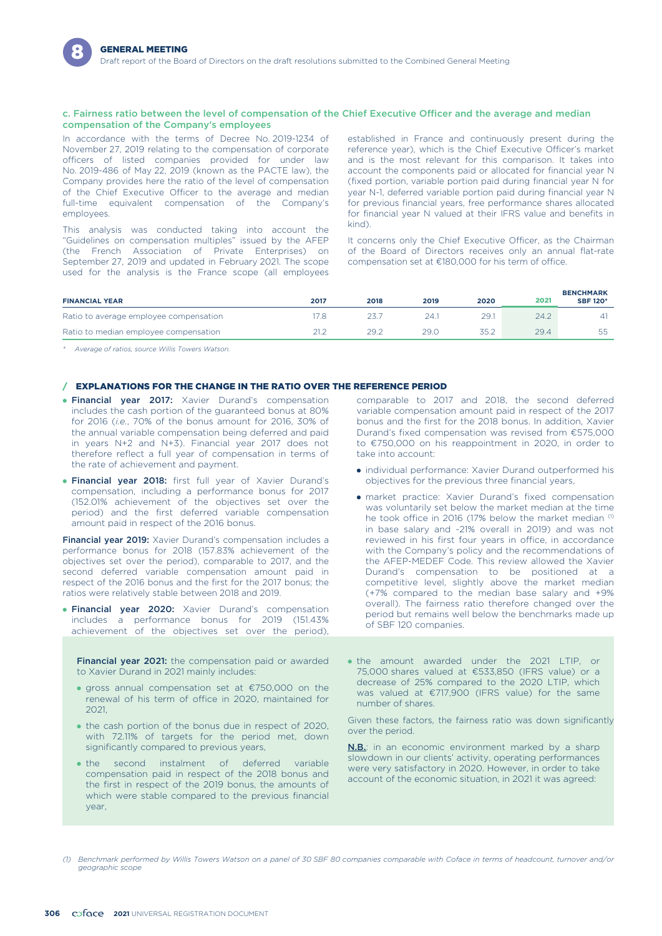#### c. Fairness ratio between the level of compensation of the Chief Executive Officer and the average and median compensation of the Company's employees

In accordance with the terms of Decree No. 2019-1234 of November 27, 2019 relating to the compensation of corporate officers of listed companies provided for under law No. 2019-486 of May 22, 2019 (known as the PACTE law), the Company provides here the ratio of the level of compensation of the Chief Executive Officer to the average and median full-time equivalent compensation of the Company's employees.

This analysis was conducted taking into account the kind). "Guidelines on compensation multiples" issued by the AFEP (the French Association of Private Enterprises) on September 27, 2019 and updated in February 2021. The scope used for the analysis is the France scope (all employees

established in France and continuously present during the reference year), which is the Chief Executive Officer's market and is the most relevant for this comparison. It takes into account the components paid or allocated for financial year N (fixed portion, variable portion paid during financial year N for year N-1, deferred variable portion paid during financial year N for previous financial years, free performance shares allocated for financial year N valued at their IFRS value and benefits in

It concerns only the Chief Executive Officer, as the Chairman of the Board of Directors receives only an annual flat-rate compensation set at €180,000 for his term of office.

| <b>FINANCIAL YEAR</b>                  | 2017 | 2018 | 2019 | 2020        | 2021 | <b>BENCHMARK</b><br><b>SBF 120*</b> |
|----------------------------------------|------|------|------|-------------|------|-------------------------------------|
| Ratio to average employee compensation |      |      | 24.  | 29.1        |      |                                     |
| Ratio to median employee compensation  |      | 29.2 | 29.0 | ZĘ 1<br>ے.ں | 29.4 | la la                               |

*\* Average of ratios, source Willis Towers Watson.*

### / EXPLANATIONS FOR THE CHANGE IN THE RATIO OVER THE REFERENCE PERIOD

- **Financial year 2017:** Xavier Durand's compensation includes the cash portion of the guaranteed bonus at 80% for 2016 (*i.e.*, 70% of the bonus amount for 2016, 30% of the annual variable compensation being deferred and paid in years N+2 and N+3). Financial year 2017 does not therefore reflect a full year of compensation in terms of the rate of achievement and payment.
- **Financial year 2018:** first full year of Xavier Durand's compensation, including a performance bonus for 2017 (152.01% achievement of the objectives set over the period) and the first deferred variable compensation amount paid in respect of the 2016 bonus.

Financial year 2019: Xavier Durand's compensation includes a performance bonus for 2018 (157.83% achievement of the objectives set over the period), comparable to 2017, and the second deferred variable compensation amount paid in respect of the 2016 bonus and the first for the 2017 bonus; the ratios were relatively stable between 2018 and 2019.

**• Financial year 2020:** Xavier Durand's compensation includes a performance bonus for 2019 (151.43% achievement of the objectives set over the period),

Financial year 2021: the compensation paid or awarded to Xavier Durand in 2021 mainly includes:

- gross annual compensation set at €750,000 on the renewal of his term of office in 2020, maintained for 2021,
- the cash portion of the bonus due in respect of 2020, with 72.11% of targets for the period met, down significantly compared to previous years,
- $-$ the second instalment of deferred variable compensation paid in respect of the 2018 bonus and the first in respect of the 2019 bonus, the amounts of which were stable compared to the previous financial year,

comparable to 2017 and 2018, the second deferred variable compensation amount paid in respect of the 2017 bonus and the first for the 2018 bonus. In addition, Xavier Durand's fixed compensation was revised from €575,000 to €750,000 on his reappointment in 2020, in order to take into account:

- individual performance: Xavier Durand outperformed his objectives for the previous three financial years,
- market practice: Xavier Durand's fixed compensation was voluntarily set below the market median at the time he took office in 2016 (17% below the market median (1) in base salary and -21% overall in 2019) and was not reviewed in his first four years in office, in accordance with the Company's policy and the recommendations of the AFEP-MEDEF Code. This review allowed the Xavier Durand's compensation to be positioned at a competitive level, slightly above the market median (+7% compared to the median base salary and +9% overall). The fairness ratio therefore changed over the period but remains well below the benchmarks made up of SBF 120 companies.
- the amount awarded under the 2021 LTIP, or 75,000 shares valued at €533,850 (IFRS value) or a decrease of 25% compared to the 2020 LTIP, which was valued at €717,900 (IFRS value) for the same number of shares.

Given these factors, the fairness ratio was down significantly over the period.

**N.B.**: in an economic environment marked by a sharp slowdown in our clients' activity, operating performances were very satisfactory in 2020. However, in order to take account of the economic situation, in 2021 it was agreed:

*<sup>(1)</sup> Benchmark performed by Willis Towers Watson on a panel of 30 SBF 80 companies comparable with Coface in terms of headcount, turnover and/or geographic scope*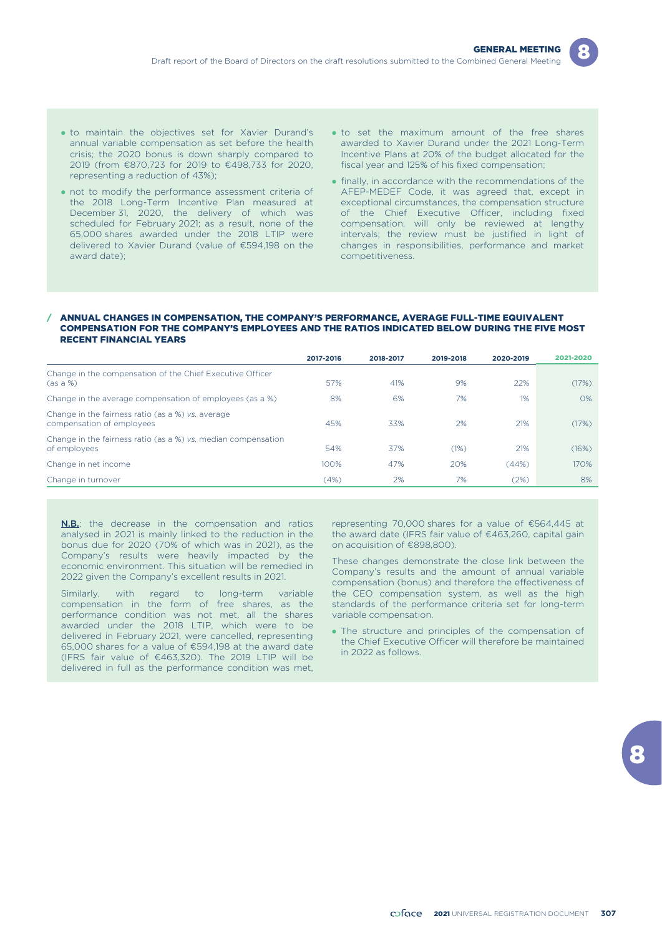

- . to maintain the objectives set for Xavier Durand's annual variable compensation as set before the health crisis; the 2020 bonus is down sharply compared to 2019 (from €870,723 for 2019 to €498,733 for 2020, representing a reduction of 43%);
- not to modify the performance assessment criteria of the 2018 Long-Term Incentive Plan measured at December 31, 2020, the delivery of which was scheduled for February 2021; as a result, none of the 65,000 shares awarded under the 2018 LTIP were delivered to Xavier Durand (value of €594,198 on the award date);
- to set the maximum amount of the free shares awarded to Xavier Durand under the 2021 Long-Term Incentive Plans at 20% of the budget allocated for the fiscal year and 125% of his fixed compensation;
- finally, in accordance with the recommendations of the AFEP-MEDEF Code, it was agreed that, except in exceptional circumstances, the compensation structure of the Chief Executive Officer, including fixed compensation, will only be reviewed at lengthy intervals; the review must be justified in light of changes in responsibilities, performance and market competitiveness.

#### / ANNUAL CHANGES IN COMPENSATION, THE COMPANY'S PERFORMANCE, AVERAGE FULL-TIME EQUIVALENT COMPENSATION FOR THE COMPANY'S EMPLOYEES AND THE RATIOS INDICATED BELOW DURING THE FIVE MOST RECENT FINANCIAL YEARS

|                                                                                | 2017-2016 | 2018-2017 | 2019-2018 | 2020-2019 | 2021-2020 |
|--------------------------------------------------------------------------------|-----------|-----------|-----------|-----------|-----------|
| Change in the compensation of the Chief Executive Officer<br>(as a %)          | 57%       | 41%       | 9%        | 22%       | (17%)     |
| Change in the average compensation of employees (as a %)                       | 8%        | 6%        | 7%        | 1%        | $O\%$     |
| Change in the fairness ratio (as a %) vs. average<br>compensation of employees | 45%       | 33%       | 2%        | 21%       | (17%)     |
| Change in the fairness ratio (as a %) vs. median compensation<br>of employees  | 54%       | 37%       | (1%)      | 21%       | (16%)     |
| Change in net income                                                           | 100%      | 47%       | 20%       | (44%)     | 170%      |
| Change in turnover                                                             | (4%)      | 2%        | 7%        | (2%)      | 8%        |

**N.B.**: the decrease in the compensation and ratios analysed in 2021 is mainly linked to the reduction in the bonus due for 2020 (70% of which was in 2021), as the Company's results were heavily impacted by the economic environment. This situation will be remedied in 2022 given the Company's excellent results in 2021.

Similarly, with regard to long-term variable compensation in the form of free shares, as the performance condition was not met, all the shares awarded under the 2018 LTIP, which were to be delivered in February 2021, were cancelled, representing 65,000 shares for a value of €594,198 at the award date (IFRS fair value of €463,320). The 2019 LTIP will be delivered in full as the performance condition was met,

representing 70,000 shares for a value of €564,445 at the award date (IFRS fair value of €463,260, capital gain on acquisition of €898,800).

These changes demonstrate the close link between the Company's results and the amount of annual variable compensation (bonus) and therefore the effectiveness of the CEO compensation system, as well as the high standards of the performance criteria set for long-term variable compensation.

• The structure and principles of the compensation of the Chief Executive Officer will therefore be maintained in 2022 as follows.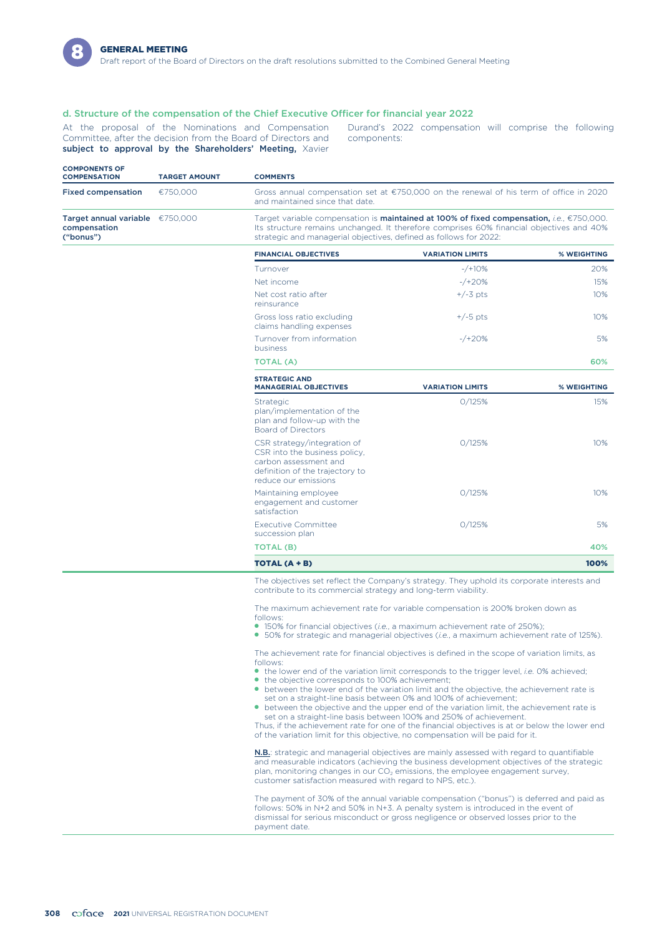

### d. Structure of the compensation of the Chief Executive Officer for financial year 2022

Committee, after the decision from the Board of Directors and components: subject to approval by the Shareholders' Meeting, Xavier

At the proposal of the Nominations and Compensation Durand's 2022 compensation will comprise the following

| <b>COMPONENTS OF</b><br><b>COMPENSATION</b>                    | <b>TARGET AMOUNT</b> | <b>COMMENTS</b>                                                                                                                                                                                                                                            |
|----------------------------------------------------------------|----------------------|------------------------------------------------------------------------------------------------------------------------------------------------------------------------------------------------------------------------------------------------------------|
| <b>Fixed compensation</b>                                      | €750.000             | Gross annual compensation set at $\epsilon$ 750,000 on the renewal of his term of office in 2020<br>and maintained since that date.                                                                                                                        |
| Target annual variable $£750,000$<br>compensation<br>("bonus") |                      | Target variable compensation is maintained at 100% of fixed compensation, i.e., €750,000.<br>Its structure remains unchanged. It therefore comprises 60% financial objectives and 40%<br>strategic and managerial objectives, defined as follows for 2022: |

| <b>FINANCIAL OBJECTIVES</b>                            | <b>VARIATION LIMITS</b> | % WEIGHTING |
|--------------------------------------------------------|-------------------------|-------------|
| Turnover                                               | $-$ /+10%               | 20%         |
| Net income                                             | $-$ /+20%               | 15%         |
| Net cost ratio after<br>reinsurance                    | $+/-3$ pts              | 10%         |
| Gross loss ratio excluding<br>claims handling expenses | $+/-5$ pts              | 10%         |
| Turnover from information<br>business                  | $-$ /+20%               | 5%          |
| <b>TOTAL (A)</b>                                       |                         | 60%         |

| <b>STRATEGIC AND</b><br><b>MANAGERIAL OBJECTIVES</b>                                                                                             | <b>VARIATION LIMITS</b> | <b>% WEIGHTING</b> |
|--------------------------------------------------------------------------------------------------------------------------------------------------|-------------------------|--------------------|
| <b>Strategic</b><br>plan/implementation of the<br>plan and follow-up with the<br>Board of Directors                                              | 0/125%                  | 15%                |
| CSR strategy/integration of<br>CSR into the business policy.<br>carbon assessment and<br>definition of the trajectory to<br>reduce our emissions | 0/125%                  | 10%                |
| Maintaining employee<br>engagement and customer<br>satisfaction                                                                                  | 0/125%                  | 10%                |
| <b>Executive Committee</b><br>succession plan                                                                                                    | 0/125%                  | 5%                 |
| TOTAL (B)                                                                                                                                        |                         | 40%                |
| TOTAL (A + B)                                                                                                                                    |                         | 100%               |

The objectives set reflect the Company's strategy. They uphold its corporate interests and contribute to its commercial strategy and long-term viability.

The maximum achievement rate for variable compensation is 200% broken down as follows:

- 150% for financial objectives (*i.e.*, a maximum achievement rate of 250%);
- 50% for strategic and managerial objectives (*i.e.*, a maximum achievement rate of 125%).

The achievement rate for financial objectives is defined in the scope of variation limits, as follows:

- the lower end of the variation limit corresponds to the trigger level, *i.e.* 0% achieved; the objective corresponds to 100% achievement;
- between the lower end of the variation limit and the objective, the achievement rate is set on a straight-line basis between 0% and 100% of achievement;
- between the objective and the upper end of the variation limit, the achievement rate is set on a straight-line basis between 100% and 250% of achievement.

Thus, if the achievement rate for one of the financial objectives is at or below the lower end of the variation limit for this objective, no compensation will be paid for it.

N.B.: strategic and managerial objectives are mainly assessed with regard to quantifiable and measurable indicators (achieving the business development objectives of the strategic plan, monitoring changes in our  $CO<sub>2</sub>$  emissions, the employee engagement survey, customer satisfaction measured with regard to NPS, etc.).

The payment of 30% of the annual variable compensation ("bonus") is deferred and paid as follows: 50% in N+2 and 50% in N+3. A penalty system is introduced in the event of dismissal for serious misconduct or gross negligence or observed losses prior to the payment date.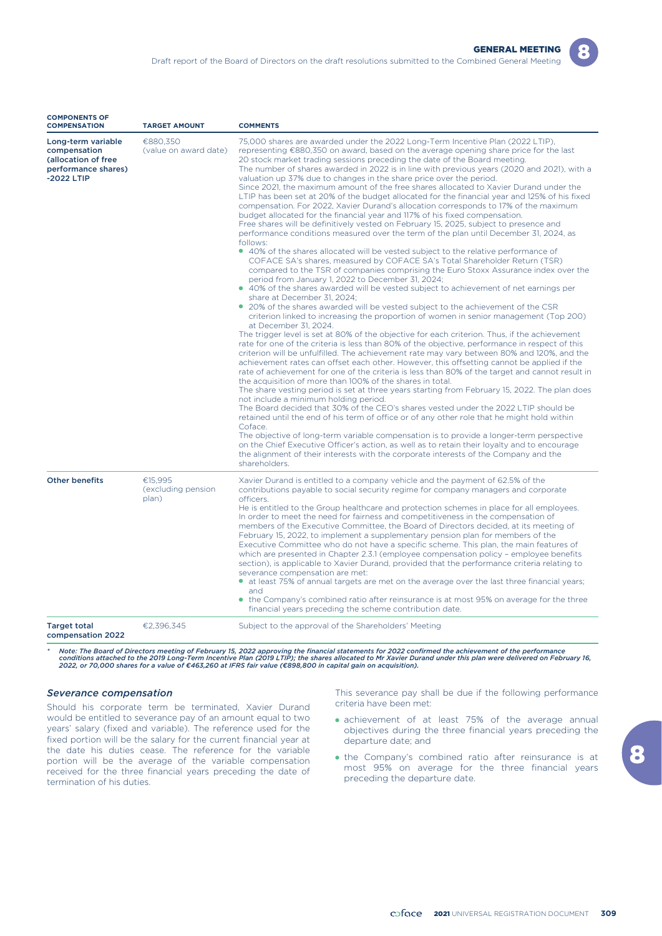| <b>COMPENSATION</b>                                                                            | <b>TARGET AMOUNT</b>                   | <b>COMMENTS</b>                                                                                                                                                                                                                                                                                                                                                                                                                                                                                                                                                                                                                                                                                                                                                                                                                                                                                                                                                                                                                                                                                                                                                                                                                                                                                                                                                                                                                                                                                                                                                                                                                                                                                                                                                                                                                                                                                                                                                                                                                                                                                                                                                                                                                                                                                                                                                                                                                                                                                                                                                                                                                                                                                                                                                                                                                                          |
|------------------------------------------------------------------------------------------------|----------------------------------------|----------------------------------------------------------------------------------------------------------------------------------------------------------------------------------------------------------------------------------------------------------------------------------------------------------------------------------------------------------------------------------------------------------------------------------------------------------------------------------------------------------------------------------------------------------------------------------------------------------------------------------------------------------------------------------------------------------------------------------------------------------------------------------------------------------------------------------------------------------------------------------------------------------------------------------------------------------------------------------------------------------------------------------------------------------------------------------------------------------------------------------------------------------------------------------------------------------------------------------------------------------------------------------------------------------------------------------------------------------------------------------------------------------------------------------------------------------------------------------------------------------------------------------------------------------------------------------------------------------------------------------------------------------------------------------------------------------------------------------------------------------------------------------------------------------------------------------------------------------------------------------------------------------------------------------------------------------------------------------------------------------------------------------------------------------------------------------------------------------------------------------------------------------------------------------------------------------------------------------------------------------------------------------------------------------------------------------------------------------------------------------------------------------------------------------------------------------------------------------------------------------------------------------------------------------------------------------------------------------------------------------------------------------------------------------------------------------------------------------------------------------------------------------------------------------------------------------------------------------|
| Long-term variable<br>compensation<br>(allocation of free<br>performance shares)<br>-2022 LTIP | €880,350<br>(value on award date)      | 75,000 shares are awarded under the 2022 Long-Term Incentive Plan (2022 LTIP),<br>representing €880,350 on award, based on the average opening share price for the last<br>20 stock market trading sessions preceding the date of the Board meeting.<br>The number of shares awarded in 2022 is in line with previous years (2020 and 2021), with a<br>valuation up 37% due to changes in the share price over the period.<br>Since 2021, the maximum amount of the free shares allocated to Xavier Durand under the<br>LTIP has been set at 20% of the budget allocated for the financial year and 125% of his fixed<br>compensation. For 2022, Xavier Durand's allocation corresponds to 17% of the maximum<br>budget allocated for the financial year and 117% of his fixed compensation.<br>Free shares will be definitively vested on February 15, 2025, subject to presence and<br>performance conditions measured over the term of the plan until December 31, 2024, as<br>follows:<br>• 40% of the shares allocated will be vested subject to the relative performance of<br>COFACE SA's shares, measured by COFACE SA's Total Shareholder Return (TSR)<br>compared to the TSR of companies comprising the Euro Stoxx Assurance index over the<br>period from January 1, 2022 to December 31, 2024;<br>• 40% of the shares awarded will be vested subject to achievement of net earnings per<br>share at December 31, 2024;<br>• 20% of the shares awarded will be vested subject to the achievement of the CSR<br>criterion linked to increasing the proportion of women in senior management (Top 200)<br>at December 31, 2024.<br>The trigger level is set at 80% of the objective for each criterion. Thus, if the achievement<br>rate for one of the criteria is less than 80% of the objective, performance in respect of this<br>criterion will be unfulfilled. The achievement rate may vary between 80% and 120%, and the<br>achievement rates can offset each other. However, this offsetting cannot be applied if the<br>rate of achievement for one of the criteria is less than 80% of the target and cannot result in<br>the acquisition of more than 100% of the shares in total.<br>The share vesting period is set at three years starting from February 15, 2022. The plan does<br>not include a minimum holding period.<br>The Board decided that 30% of the CEO's shares vested under the 2022 LTIP should be<br>retained until the end of his term of office or of any other role that he might hold within<br>Coface.<br>The objective of long-term variable compensation is to provide a longer-term perspective<br>on the Chief Executive Officer's action, as well as to retain their loyalty and to encourage<br>the alignment of their interests with the corporate interests of the Company and the<br>shareholders. |
| <b>Other benefits</b>                                                                          | €15.995<br>(excluding pension<br>plan) | Xavier Durand is entitled to a company vehicle and the payment of 62.5% of the<br>contributions payable to social security regime for company managers and corporate<br>officers.<br>He is entitled to the Group healthcare and protection schemes in place for all employees.<br>In order to meet the need for fairness and competitiveness in the compensation of<br>members of the Executive Committee, the Board of Directors decided, at its meeting of<br>February 15, 2022, to implement a supplementary pension plan for members of the<br>Executive Committee who do not have a specific scheme. This plan, the main features of<br>which are presented in Chapter 2.3.1 (employee compensation policy - employee benefits<br>section), is applicable to Xavier Durand, provided that the performance criteria relating to<br>severance compensation are met:<br>• at least 75% of annual targets are met on the average over the last three financial years;<br>and<br>• the Company's combined ratio after reinsurance is at most 95% on average for the three<br>financial years preceding the scheme contribution date.                                                                                                                                                                                                                                                                                                                                                                                                                                                                                                                                                                                                                                                                                                                                                                                                                                                                                                                                                                                                                                                                                                                                                                                                                                                                                                                                                                                                                                                                                                                                                                                                                                                                                                                     |
| <b>Target total</b><br>compensation 2022                                                       | €2,396,345                             | Subject to the approval of the Shareholders' Meeting                                                                                                                                                                                                                                                                                                                                                                                                                                                                                                                                                                                                                                                                                                                                                                                                                                                                                                                                                                                                                                                                                                                                                                                                                                                                                                                                                                                                                                                                                                                                                                                                                                                                                                                                                                                                                                                                                                                                                                                                                                                                                                                                                                                                                                                                                                                                                                                                                                                                                                                                                                                                                                                                                                                                                                                                     |

\* Note: The Board of Directors meeting of February 15, 2022 approving the financial statements for 2022 confirmed the achievement of the performance<br>Conditions attached to the 2019 Long-Term Incentive Plan (2019 LTIP); th

#### *Severance compensation*

**COMPONENTS OF**

Should his corporate term be terminated, Xavier Durand would be entitled to severance pay of an amount equal to two years' salary (fixed and variable). The reference used for the fixed portion will be the salary for the current financial year at the date his duties cease. The reference for the variable portion will be the average of the variable compensation received for the three financial years preceding the date of termination of his duties.

This severance pay shall be due if the following performance criteria have been met:

- achievement of at least 75% of the average annual objectives during the three financial years preceding the departure date; and
- the Company's combined ratio after reinsurance is at most 95% on average for the three financial years preceding the departure date.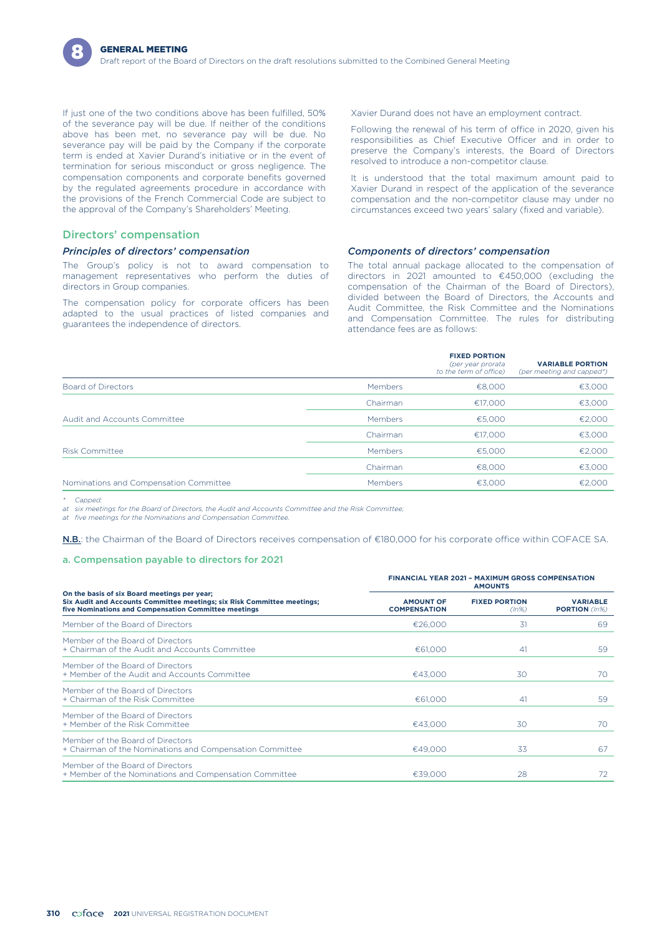If just one of the two conditions above has been fulfilled, 50% of the severance pay will be due. If neither of the conditions above has been met, no severance pay will be due. No severance pay will be paid by the Company if the corporate term is ended at Xavier Durand's initiative or in the event of termination for serious misconduct or gross negligence. The compensation components and corporate benefits governed by the regulated agreements procedure in accordance with the provisions of the French Commercial Code are subject to the approval of the Company's Shareholders' Meeting.

### Directors' compensation

#### *Principles of directors' compensation*

The Group's policy is not to award compensation to management representatives who perform the duties of directors in Group companies.

The compensation policy for corporate officers has been adapted to the usual practices of listed companies and guarantees the independence of directors.

Xavier Durand does not have an employment contract.

Following the renewal of his term of office in 2020, given his responsibilities as Chief Executive Officer and in order to preserve the Company's interests, the Board of Directors resolved to introduce a non-competitor clause.

It is understood that the total maximum amount paid to Xavier Durand in respect of the application of the severance compensation and the non-competitor clause may under no circumstances exceed two years' salary (fixed and variable).

#### *Components of directors' compensation*

The total annual package allocated to the compensation of directors in 2021 amounted to €450,000 (excluding the compensation of the Chairman of the Board of Directors), divided between the Board of Directors, the Accounts and Audit Committee, the Risk Committee and the Nominations and Compensation Committee. The rules for distributing attendance fees are as follows:

|                                        |          | <b>FIXED PORTION</b><br>(per year prorata<br>to the term of office) | <b>VARIABLE PORTION</b><br>(per meeting and capped*) |
|----------------------------------------|----------|---------------------------------------------------------------------|------------------------------------------------------|
| Board of Directors                     | Members  | €8,000                                                              | €3,000                                               |
|                                        | Chairman | €17.000                                                             | €3,000                                               |
| Audit and Accounts Committee           | Members  | €5,000                                                              | €2,000                                               |
|                                        | Chairman | €17,000                                                             | €3,000                                               |
| <b>Risk Committee</b>                  | Members  | €5.000                                                              | €2,000                                               |
|                                        | Chairman | €8,000                                                              | €3,000                                               |
| Nominations and Compensation Committee | Members  | €3.000                                                              | €2.000                                               |

*\* Capped:*

*at six meetings for the Board of Directors, the Audit and Accounts Committee and the Risk Committee;*

*at five meetings for the Nominations and Compensation Committee.*

N.B.: the Chairman of the Board of Directors receives compensation of €180,000 for his corporate office within COFACE SA.

### a. Compensation payable to directors for 2021

|                                                                                                                                                                                 | <b>FINANCIAL YEAR 2021 - MAXIMUM GROSS COMPENSATION</b><br><b>AMOUNTS</b> |                                  |                                         |  |  |
|---------------------------------------------------------------------------------------------------------------------------------------------------------------------------------|---------------------------------------------------------------------------|----------------------------------|-----------------------------------------|--|--|
| On the basis of six Board meetings per year;<br>Six Audit and Accounts Committee meetings; six Risk Committee meetings;<br>five Nominations and Compensation Committee meetings | <b>AMOUNT OF</b><br><b>COMPENSATION</b>                                   | <b>FIXED PORTION</b><br>$(ln\%)$ | <b>VARIABLE</b><br><b>PORTION</b> (In%) |  |  |
| Member of the Board of Directors                                                                                                                                                | €26,000                                                                   | 31                               | 69                                      |  |  |
| Member of the Board of Directors<br>+ Chairman of the Audit and Accounts Committee                                                                                              | €61,000                                                                   | 41                               | 59                                      |  |  |
| Member of the Board of Directors<br>+ Member of the Audit and Accounts Committee                                                                                                | €43.000                                                                   | 30                               | 70                                      |  |  |
| Member of the Board of Directors<br>+ Chairman of the Risk Committee                                                                                                            | €61,000                                                                   | 41                               | 59                                      |  |  |
| Member of the Board of Directors<br>+ Member of the Risk Committee                                                                                                              | €43.000                                                                   | 30                               | 70                                      |  |  |
| Member of the Board of Directors<br>+ Chairman of the Nominations and Compensation Committee                                                                                    | €49,000                                                                   | 33                               | 67                                      |  |  |
| Member of the Board of Directors<br>+ Member of the Nominations and Compensation Committee                                                                                      | €39,000                                                                   | 28                               | 72                                      |  |  |